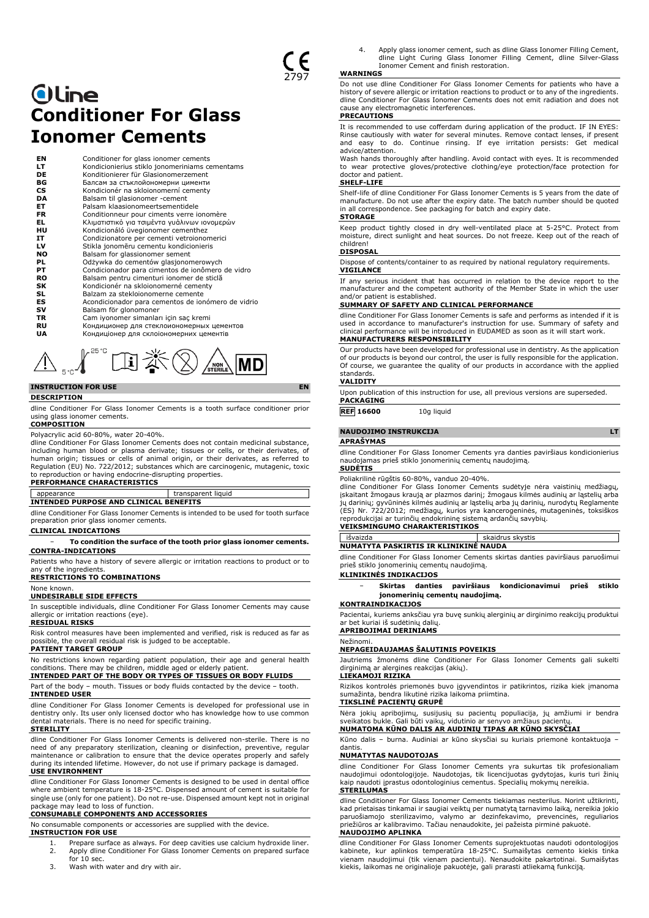# **Oline Conditioner For Glass Ionomer Cements**

| ΕN        | Conditioner for glass ionomer cements              |
|-----------|----------------------------------------------------|
| LТ        | Kondicionierius stiklo jonomeriniams cementams     |
| DE        | Konditionierer für Glasionomerzement               |
| ВG        | Балсам за стъклойономерни цименти                  |
| <b>CS</b> | Kondicionér na skloionomerní cementy               |
| DA        | Balsam til glasionomer -cement                     |
| EТ        | Palsam klaasionomeertsementidele                   |
| <b>FR</b> | Conditionneur pour ciments verre ionomère          |
| EL.       | Κλιματιστικό για τσιμέντα γυάλινων ιονομερών       |
| нu        | Kondicionáló üvegionomer cementhez                 |
| IT        | Condizionatore per cementi vetroionomerici         |
| LV        | Stikla jonomēru cementu kondicionieris             |
| NO        | Balsam for glassionomer sement                     |
| PL        | Odżywka do cementów glasjonomerowych               |
| PТ        | Condicionador para cimentos de ionômero de vidro   |
| <b>RO</b> | Balsam pentru cimenturi ionomer de sticlă          |
| SK        | Kondicionér na skloionomerné cementy               |
| SL        | Balzam za stekloionomerne cemente                  |
| ES        | Acondicionador para cementos de ionómero de vidrio |
| sv        | Balsam för glonomoner                              |
| <b>TR</b> | Cam iyonomer simanları için saç kremi              |
| RU        | Кондиционер для стеклоиономерных цементов          |
| UA        | Кондиціонер для склоіономерних цементів            |



### **INSTRUCTION FOR USE EN DESCRIPTION**

dline Conditioner For Glass Ionomer Cements is a tooth surface conditioner prior using glass ionomer cements.

## **COMPOSITION**

Polyacrylic acid 60-80%, water 20-40%.

dline Conditioner For Glass Ionomer Cements does not contain medicinal substance, including human blood or plasma derivate; tissues or cells, or their derivates, of human origin; tissues or cells of animal origin, or their derivates, as referred to Regulation (EU) No. 722/2012; substances which are carcinogenic, mutagenic, toxic to reproduction or having endocrine-disrupting properties. **PERFORMANCE CHARACTERISTICS**

# appearance transparent liquid

## **INTENDED PURPOSE AND CLINICAL BENEFITS**

dline Conditioner For Glass Ionomer Cements is intended to be used for tooth surface preparation prior glass ionomer cements.

### **CLINICAL INDICATIONS**

− **To condition the surface of the tooth prior glass ionomer cements. CONTRA-INDICATIONS**

Patients who have a history of severe allergic or irritation reactions to product or to any of the ingredients.

**RESTRICTIONS TO COMBINATIONS**

#### None known. **UNDESIRABLE SIDE EFFECTS**

In susceptible individuals, dline Conditioner For Glass Ionomer Cements may cause allergic or irritation reactions (eye).

#### **RESIDUAL RISKS**

Risk control measures have been implemented and verified, risk is reduced as far as possible, the overall residual risk is judged to be acceptable.

### **PATIENT TARGET GROUP**

No restrictions known regarding patient population, their age and general health conditions. There may be children, middle aged or elderly patient.

## **INTENDED PART OF THE BODY OR TYPES OF TISSUES OR BODY FLUIDS**

Part of the body – mouth. Tissues or body fluids contacted by the device – tooth. **INTENDED USER**

dline Conditioner For Glass Ionomer Cements is developed for professional use in dentistry only. Its user only licensed doctor who has knowledge how to use common dental materials. There is no need for specific training.

#### **STERILITY**

dline Conditioner For Glass Ionomer Cements is delivered non-sterile. There is no<br>need of any preparatory sterilization, cleaning or disinfection, preventive, regular<br>maintenance or calibration to ensure that the device op during its intended lifetime. However, do not use if primary package is damaged. **USE ENVIRONMENT**

dline Conditioner For Glass Ionomer Cements is designed to be used in dental office where ambient temperature is 18-25°C. Dispensed amount of cement is suitable for single use (only for one patient). Do not re-use. Dispensed amount kept not in original package may lead to loss of function.

## **CONSUMABLE COMPONENTS AND ACCESSORIES**

No consumable components or accessories are supplied with the device.

## **INSTRUCTION FOR USE**

- 1. Prepare surface as always. For deep cavities use calcium hydroxide liner.<br>2. Apply dline Conditioner For Glass Ionomer Cements on prepared surface 2. Apply dline Conditioner For Glass Ionomer Cements on prepared surface
- for 10 sec. 3. Wash with water and dry with air.

4. Apply glass ionomer cement, such as dline Glass Ionomer Filling Cement, dline Light Curing Glass Ionomer Filling Cement, dline Silver-Glass Ionomer Cement and finish restoration.

#### **WARNINGS**

Do not use dline Conditioner For Glass Ionomer Cements for patients who have a history of severe allergic or irritation reactions to product or to any of the ingredients. dline Conditioner For Glass Ionomer Cements does not emit radiation and does not cause any electromagnetic interferences.

## **PRECAUTIONS**

It is recommended to use cofferdam during application of the product. IF IN EYES: Rinse cautiously with water for several minutes. Remove contact lenses, if present and easy to do. Continue rinsing. If eye irritation persists: Get medical advice/attention.

Wash hands thoroughly after handling. Avoid contact with eyes. It is recommended to wear protective gloves/protective clothing/eye protection/face protection for doctor and patient.

## **SHELF-LIFE**

Shelf-life of dline Conditioner For Glass Ionomer Cements is 5 years from the date of manufacture. Do not use after the expiry date. The batch number should be quoted in all correspondence. See packaging for batch and expiry date.

### **STORAGE**

Keep product tightly closed in dry well-ventilated place at 5-25°C. Protect from moisture, direct sunlight and heat sources. Do not freeze. Keep out of the reach of children!

#### **DISPOSAL**

Dispose of contents/container to as required by national regulatory requirements. **VIGILANCE**

If any serious incident that has occurred in relation to the device report to the manufacturer and the competent authority of the Member State in which the user and/or patient is established.

### **SUMMARY OF SAFETY AND CLINICAL PERFORMANCE**

dline Conditioner For Glass Ionomer Cements is safe and performs as intended if it is used in accordance to manufacturer's instruction for use. Summary of safety and clinical performance will be introduced in EUDAMED as soon as it will start work. **MANUFACTURERS RESPONSIBILITY**

Our products have been developed for professional use in dentistry. As the application of our products is beyond our control, the user is fully responsible for the application. Of course, we guarantee the quality of our products in accordance with the applied standards.

#### **VALIDITY**

Upon publication of this instruction for use, all previous versions are superseded.

## **PACKAGING**

**REF** 16600 10g liquid

## **NAUDOJIMO INSTRUKCIJA LT**

## **APRAŠYMAS**

dline Conditioner For Glass Ionomer Cements yra danties paviršiaus kondicionierius naudojamas prieš stiklo jonomerinių cementų naudojimą.

### **SUDĖTIS**

Poliakrilinė rūgštis 60-80%, vanduo 20-40%. dline Conditioner For Glass Ionomer Cements sudėtyje nėra vaistinių medžiagų, jskaitant žmogaus kraują ar plazmos darinį; žmogaus kilmės audinių ar ląstelių arba<br>jų darinių; gyvūninės kilmės audinių ar ląstelių arba jų darinių, nurodytų Reglamente<br>(ES) Nr. 722/2012; medžiagų, kurios yra kancerogenin reprodukcijai ar turinčių endokrininę sistemą ardančių savybių. **VEIKSMINGUMO CHARAKTERISTIKOS**

išvaizda skystis išvaizda skystis **NUMATYTA PASKIRTIS IR KLINIKINĖ NAUDA**

dline Conditioner For Glass Ionomer Cements skirtas danties paviršiaus paruošimui prieš stiklo jonomerinių cementų naudojimą.

#### **KLINIKINĖS INDIKACIJOS**

− **Skirtas danties paviršiaus kondicionavimui prieš stiklo jonomerinių cementų naudojimą. KONTRAINDIKACIJOS**

Pacientai, kuriems anksčiau yra buvę sunkių alerginių ar dirginimo reakcijų produktui ar bet kuriai iš sudėtinių dalių. **APRIBOJIMAI DERINIAMS**

## Nežinomi.

## **NEPAGEIDAUJAMAS ŠALUTINIS POVEIKIS**

Jautriems žmonėms dline Conditioner For Glass Ionomer Cements gali sukelti dirginima ar alergines reakcijas (akių).

## **LIEKAMOJI RIZIKA**

Rizikos kontrolės priemonės buvo įgyvendintos ir patikrintos, rizika kiek įmanoma sumažinta, bendra likutinė rizika laikoma priimtina.

#### **TIKSLINĖ PACIENTŲ GRUPĖ**

Nėra jokių apribojimų, susijusių su pacientų populiacija, jų amžiumi ir bendra sveikatos bukle. Gali būti vaikų, vidutinio ar senyvo amžiaus pacientų. **NUMATOMA KŪNO DALIS AR AUDINIŲ TIPAS AR KŪNO SKYSČIAI**

#### Kūno dalis – burna. Audiniai ar kūno skysčiai su kuriais priemonė kontaktuoja – dantis.

## **NUMATYTAS NAUDOTOJAS**

dline Conditioner For Glass Ionomer Cements yra sukurtas tik profesionaliam naudojimui odontologijoje. Naudotojas, tik licencijuotas gydytojas, kuris turi žinių kaip naudoti įprastus odontologinius cementus. Specialių mokymų nereikia. **STERILUMAS**

dline Conditioner For Glass Ionomer Cements tiekiamas nesterilus. Norint užtikrinti,<br>kad prietaisas tinkamai ir saugiai veiktų per numatytą tarnavimo laiką, nereikia jokio<br>paruošiamojo sterilizavimo, valymo ar dezinfek priežiūros ar kalibravimo. Tačiau nenaudokite, jei pažeista pirminė pakuotė.

#### **NAUDOJIMO APLINKA**

dline Conditioner For Glass Ionomer Cements suprojektuotas naudoti odontologijos kabinete, kur aplinkos temperatūra 18-25°C. Sumaišytas cemento kiekis tinka vienam naudojimui (tik vienam pacientui). Nenaudokite pakartotinai. Sumaišytas kiekis, laikomas ne originalioje pakuotėje, gali prarasti atliekamą funkciją.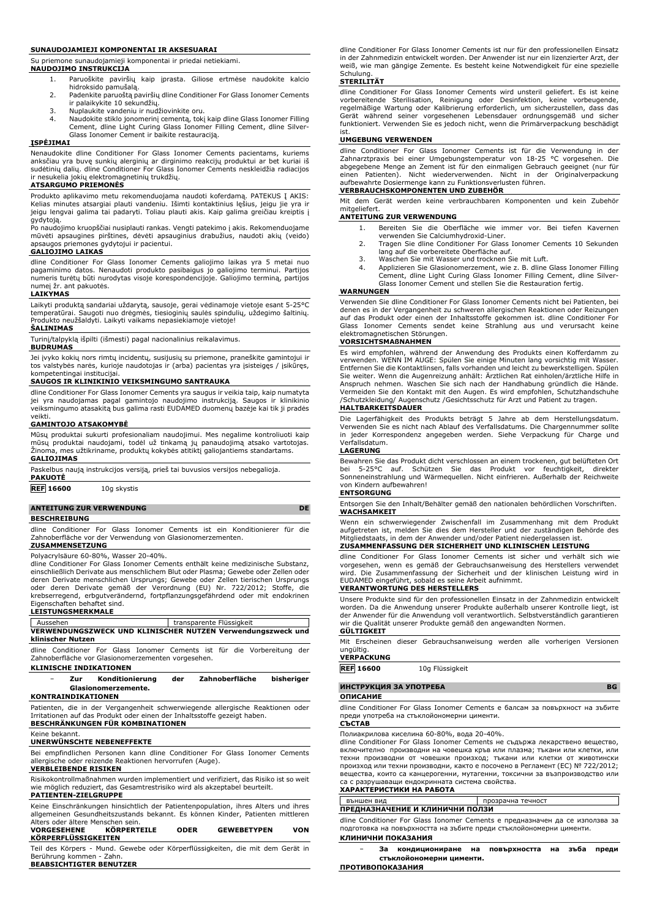#### **SUNAUDOJAMIEJI KOMPONENTAI IR AKSESUARAI**

Su priemone sunaudojamieji komponentai ir priedai netiekiami. **NAUDOJIMO INSTRUKCIJA**

- 1. Paruoškite paviršių kaip įprasta. Giliose ertmėse naudokite kalcio
- hidroksido pamušalą. 2. Padenkite paruoštą paviršių dline Conditioner For Glass Ionomer Cements ir palaikykite 10 sekundžių.
- 3. Nuplaukite vandeniu ir nudžiovinkite oru.
- 4. Naudokite stiklo jonomerinį cementą, tokį kaip dline Glass Ionomer Filling Cement, dline Light Curing Glass Ionomer Filling Cement, dline Silver-Glass Ionomer Cement ir baikite restauraciją.

## **ĮSPĖJIMAI**

Nenaudokite dline Conditioner For Glass Ionomer Cements pacientams, kuriems anksčiau yra buvę sunkių alerginių ar dirginimo reakcijų produktui ar bet kuriai iš sudėtinių dalių. dline Conditioner For Glass Ionomer Cements neskleidžia radiacijos ir nesukelia jokių elektromagnetinių trukdžių.

### **ATSARGUMO PRIEMONĖS**

Produkto aplikavimo metu rekomenduojama naudoti koferdamą. PATEKUS Į AKIS: Kelias minutes atsargiai plauti vandeniu. Išimti kontaktinius lęšius, jeigu jie yra ir jeigu lengvai galima tai padaryti. Toliau plauti akis. Kaip galima greičiau kreiptis į gydytoją.

Po naudojimo kruopščiai nusiplauti rankas. Vengti patekimo į akis. Rekomenduojame mūvėti apsaugines pirštines, dėvėti apsauginius drabužius, naudoti akių (veido) apsaugos priemones gydytojui ir pacientui.

#### **GALIOJIMO LAIKAS**

dline Conditioner For Glass Ionomer Cements galiojimo laikas yra 5 metai nuo pagaminimo datos. Nenaudoti produkto pasibaigus jo galiojimo terminui. Partijos numeris turėtų būti nurodytas visoje korespondencijoje. Galiojimo terminą, partijos numeį žr. ant pakuotės.

#### **LAIKYMAS**

Laikyti produktą sandariai uždarytą, sausoje, gerai vėdinamoje vietoje esant 5-25°C temperatūrai. Saugoti nuo drėgmės, tiesioginių saulės spindulių, uždegimo šaltinių. Produkto neužšaldyti. Laikyti vaikams nepasiekiamoje vietoje!

### **ŠALINIMAS**

Turinį/talpyklą išpilti (išmesti) pagal nacionalinius reikalavimus.

### **BUDRUMAS**

Jei įvyko kokių nors rimtų incidentų, susijusių su priemone, praneškite gamintojui ir tos valstybės narės, kurioje naudotojas ir (arba) pacientas yra įsisteigęs / įsikūręs, kompetentingai institucijai.

### **SAUGOS IR KLINIKINIO VEIKSMINGUMO SANTRAUKA**

dline Conditioner For Glass Ionomer Cements yra saugus ir veikia taip, kaip numatyta jei yra naudojamas pagal gamintojo naudojimo instrukciją. Saugos ir klinikinio veiksmingumo atasakitą bus galima rasti EUDAMED duomenų bazėje kai tik ji pradės

# veikti. **GAMINTOJO ATSAKOMYBĖ**

Mūsų produktai sukurti profesionaliam naudojimui. Mes negalime kontroliuoti kaip mūsų produktai naudojami, todėl už tinkamą jų panaudojimą atsako vartotojas. Žinoma, mes užtikriname, produktų kokybės atitiktį galiojantiems standartams. **GALIOJIMAS**

Paskelbus naują instrukcijos versiją, prieš tai buvusios versijos nebegalioja.

**PAKUOTĖ**

**REF 16600** 10g skystis

### **ANTEITUNG ZUR VERWENDUNG DE**

**BESCHREIBUNG**

dline Conditioner For Glass Ionomer Cements ist ein Konditionierer für die Zahnoberfläche vor der Verwendung von Glasionomerzementen. **ZUSAMMENSETZUNG**

#### Polyacrylsäure 60-80%, Wasser 20-40%.

dline Conditioner For Glass Ionomer Cements enthält keine medizinische Substanz, einschließlich Derivate aus menschlichem Blut oder Plasma; Gewebe oder Zellen oder deren Derivate menschlichen Ursprungs; Gewebe oder Zellen tierischen Ursprungs oder deren Derivate gemäß der Verordnung (EU) Nr. 722/2012; Stoffe, die krebserregend, erbgutverändernd, fortpflanzungsgefährdend oder mit endokrinen Eigenschaften behaftet sind.

## **LEISTUNGSMERKMALE**

| Aussehen          | transparente Flüssigkeit                                    |
|-------------------|-------------------------------------------------------------|
|                   | VERWENDUNGSZWECK UND KLINISCHER NUTZEN Verwendungszweck und |
| klinischer Nutzen |                                                             |

dline Conditioner For Glass Ionomer Cements ist für die Vorbereitung der

Zahnoberfläche vor Glasionomerzementen vorgesehen.

## **KLINISCHE INDIKATIONEN**

| $\overline{\phantom{a}}$ | Zur | Konditionierung     | der | Zahnoberfläche | bisheriger |
|--------------------------|-----|---------------------|-----|----------------|------------|
|                          |     | Glasionomerzemente. |     |                |            |

### **KONTRAINDIKATIONEN**

Patienten, die in der Vergangenheit schwerwiegende allergische Reaktionen oder Irritationen auf das Produkt oder einen der Inhaltsstoffe gezeigt haben. **BESCHRÄNKUNGEN FÜR KOMBINATIONEN**

## Keine bekannt.

#### **UNERWÜNSCHTE NEBENEFFEKTE**

Bei empfindlichen Personen kann dline Conditioner For Glass Ionomer Cements allergische oder reizende Reaktionen hervorrufen (Auge).

#### **VERBLEIBENDE RISIKEN**

Risikokontrollmaßnahmen wurden implementiert und verifiziert, das Risiko ist so weit wie möglich reduziert, das Gesamtrestrisiko wird als akzeptabel beurteilt. **PATIENTEN-ZIELGRUPPE**

Keine Einschränkungen hinsichtlich der Patientenpopulation, ihres Alters und ihres allgemeinen Gesundheitszustands bekannt. Es können Kinder, Patienten mittleren Alters oder ältere Menschen sein.

| <b>VORGESEHENE</b>         | <b>KÖRPERTEILE</b> | <b>ODER</b> | <b>GEWEBETYPEN</b> | VON |
|----------------------------|--------------------|-------------|--------------------|-----|
| <b>KÖRPERFLÜSSIGKEITEN</b> |                    |             |                    |     |
|                            |                    |             |                    |     |

Teil des Körpers - Mund. Gewebe oder Körperflüssigkeiten, die mit dem Gerät in Berührung kommen - Zahn.

**BEABSICHTIGTER BENUTZER**

dline Conditioner For Glass Ionomer Cements ist nur für den professionellen Einsatz in der Zahnmedizin entwickelt worden. Der Anwender ist nur ein lizenzierter Arzt, der weiß, wie man gängige Zemente. Es besteht keine Notwendigkeit für eine spezielle Schulung.

#### **STERILITÄT**

dline Conditioner For Glass Ionomer Cements wird unsteril geliefert. Es ist keine vorbereitende Sterilisation, Reinigung oder Desinfektion, keine vorbeugende,<br>regelmäßige Wartung oder Kalibrierung erforderlich, um sicherzustellen, dass das<br>Gerät während seiner vorgesehenen Lebensdauer ordnungsgemäß und funktioniert. Verwenden Sie es jedoch nicht, wenn die Primärverpackung beschädigt ist.

#### **UMGEBUNG VERWENDEN**

dline Conditioner For Glass Ionomer Cements ist für die Verwendung in der Zahnarztpraxis bei einer Umgebungstemperatur von 18-25 °C vorgesehen. Die abgegebene Menge an Zement ist für den einmaligen Gebrauch geeignet (nur für<br>einen Patienten). Nicht wiederverwenden. Nicht in der Originalverpackung<br>aufbewahrte Dosiermenge kann zu Funktionsverlusten führen. **VERBRAUCHSKOMPONENTEN UND ZUBEHÖR**

Mit dem Gerät werden keine verbrauchbaren Komponenten und kein Zubehör mitgeliefert.

#### **ANTEITUNG ZUR VERWENDUNG**

- 1. Bereiten Sie die Oberfläche wie immer vor. Bei tiefen Kavernen verwenden Sie Calciumhydroxid-Liner.
- 2. Tragen Sie dline Conditioner For Glass Ionomer Cements 10 Sekunden<br>1 lang auf die vorbereitete Oberfläche auf.<br>3. Waschen Sie mit Wasser und trocknen Sie mit Luft.
- 
- 4. Applizieren Sie Glasionomerzement, wie z. B. dline Glass Ionomer Filling Cement, dline Light Curing Glass Ionomer Filling Cement, dline Silver-Glass Ionomer Cement und stellen Sie die Restauration fertig.

#### **WARNUNGEN**

Verwenden Sie dline Conditioner For Glass Ionomer Cements nicht bei Patienten, bei denen es in der Vergangenheit zu schweren allergischen Reaktionen oder Reizungen auf das Produkt oder einen der Inhaltsstoffe gekommen ist. dline Conditioner For Glass Ionomer Cements sendet keine Strahlung aus und verursacht keine elektromagnetischen Störungen.

#### **VORSICHTSMAßNAHMEN**

Es wird empfohlen, während der Anwendung des Produkts einen Kofferdamm zu verwenden. WENN IM AUGE: Spülen Sie einige Minuten lang vorsichtig mit Wasser. Entfernen Sie die Kontaktlinsen, falls vorhanden und leicht zu bewerkstelligen. Spülen Sie weiter. Wenn die Augenreizung anhält: Ärztlichen Rat einholen/ärztliche Hilfe in Anspruch nehmen. Waschen Sie sich nach der Handhabung gründlich die Hände. Vermeiden Sie den Kontakt mit den Augen. Es wird empfohlen, Schutzhandschuhe /Schutzkleidung/ Augenschutz /Gesichtsschutz für Arzt und Patient zu tragen.

## **HALTBARKEITSDAUER**

Die Lagerfähigkeit des Produkts beträgt 5 Jahre ab dem Herstellungsdatum. Verwenden Sie es nicht nach Ablauf des Verfallsdatums. Die Chargennummer sollte in jeder Korrespondenz angegeben werden. Siehe Verpackung für Charge und Verfallsdatum.

#### **LAGERUNG**

Bewahren Sie das Produkt dicht verschlossen an einem trockenen, gut belüfteten Ort bei 5-25°C auf. Schützen Sie das Produkt vor feuchtigkeit, direkter Sonneneinstrahlung und Wärmequellen. Nicht einfrieren. Außerhalb der Reichweite von Kindern aufbewahren!

#### **ENTSORGUNG**

Entsorgen Sie den Inhalt/Behälter gemäß den nationalen behördlichen Vorschriften. **WACHSAMKEIT**

Wenn ein schwerwiegender Zwischenfall im Zusammenhang mit dem Produkt aufgetreten ist, melden Sie dies dem Hersteller und der zuständigen Behörde des mitgliedstaats, in dem der Literature und/oder Patient niedergelassen **ZUSAMMENFASSUNG DER SICHERHEIT UND KLINISCHEN LEISTUNG**

dline Conditioner For Glass Ionomer Cements ist sicher und verhält sich wie vorgesehen, wenn es gemäß der Gebrauchsanweisung des Herstellers verwendet<br>wird. Die Zusammenfassung der Sicherheit und der klinischen Leistung wird in<br>EUDAMED eingeführt, sobald es seine Arbeit aufnimmt.

## **VERANTWORTUNG DES HERSTELLERS**

Unsere Produkte sind für den professionellen Einsatz in der Zahnmedizin entwickelt worden. Da die Anwendung unserer Produkte außerhalb unserer Kontrolle liegt, ist der Anwender für die Anwendung voll verantwortlich. Selbstverständlich garantieren wir die Qualität unserer Produkte gemäß den angewandten Normen. **GÜLTIGKEIT**

Mit Erscheinen dieser Gebrauchsanweisung werden alle vorherigen Versionen ungültig.

## **VERPACKUNG**

**REF 16600** 10g Flüssigkeit

**ИНСТРУКЦИЯ ЗА УПОТРЕБА BG**

#### **ОПИСАНИЕ**

dline Conditioner For Glass Ionomer Cements е балсам за повърхност на зъбите преди употреба на стъклойономерни цименти.

## **СЪСТАВ**

Полиакрилова киселина 60-80%, вода 20-40%.

dline Conditioner For Glass Ionomer Cements не съдържа лекарствено вещество, включително производни на човешка кръв или плазма; тъкани или клетки, или техни производни от човешки произход; тъкани или клетки от животински произход или техни производни, както е посочено в Регламент (ЕС) № 722/2012; вещества, които са канцерогенни, мутагенни, токсични за възпроизводство или са с разрушаващи ендокринната система свойства. **ХАРАКТЕРИСТИКИ НА РАБОТА**

прозрачна течност **ПРЕДНАЗНАЧЕНИЕ И КЛИНИЧНИ ПОЛЗИ**

dline Conditioner For Glass Ionomer Cements е предназначен да се използва за подготовка на повърхността на зъбите преди стъклойономерни цименти.

## **КЛИНИЧНИ ПОКАЗАНИЯ**

− **За кондициониране на повърхността на зъба преди стъклойономерни цименти.**

**ПРОТИВОПОКАЗАНИЯ**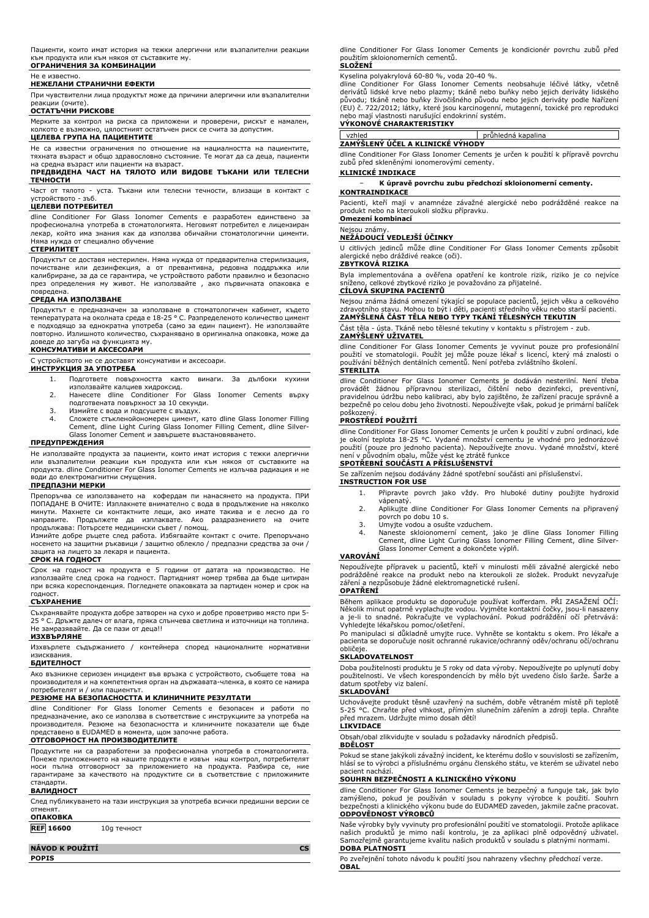Пациенти, които имат история на тежки алергични или възпалителни реакции към продукта или към някоя от съставките му.

#### **ОГРАНИЧЕНИЯ ЗА КОМБИНАЦИИ** Не е известно.

**НЕЖЕЛАНИ СТРАНИЧНИ ЕФЕКТИ**

При чувствителни лица продуктът може да причини алергични или възпалителни реакции (очите).

#### **ОСТАТЪЧНИ РИСКОВЕ**

Мерките за контрол на риска са приложени и проверени, рискът е намален, колкото е възможно, цялостният остатъчен риск се счита за допустим. **ЦЕЛЕВА ГРУПА НА ПАЦИЕНТИТЕ**

Не са известни ограничения по отношение на нациалността на пациентите, тяхната възраст и общо здравословно състояние. Те могат да са деца, пациенти на средна възраст или пациенти на възраст.

## **ПРЕДВИДЕНА ЧАСТ НА ТЯЛОТО ИЛИ ВИДОВЕ ТЪКАНИ ИЛИ ТЕЛЕСНИ ТЕЧНОСТИ**

Част от тялото - уста. Тъкани или телесни течности, влизащи в контакт с устройството - зъб.

### **ЦЕЛЕВИ ПОТРЕБИТЕЛ**

dline Conditioner For Glass Ionomer Cements е разработен единствено за професионална употреба в стоматологията. Неговият потребител е лицензиран лекар, който има знания как да използва обичайни стоматологични цименти. Няма нужда от специално обучение

#### **СТЕРИЛИТЕТ**

Продуктът се доставя нестерилен. Няма нужда от предварителна стерилизация, почистване или дезинфекция, а от превантивна, редовна поддръжка или калибриране, за да се гарантира, че устройството работи правилно и безопасно през определения му живот. Не използвайте , ако първичната опаковка е повредена.

#### **СРЕДА НА ИЗПОЛЗВАНЕ**

Продуктът е предназначен за използване в стоматологичен кабинет, където температурата на околната среда е 18-25 ° C. Разпределеното количество цимент е подходящо за еднократна употреба (само за един пациент). Не използвайте повторно. Излишното количество, съхранявано в оригинална опаковка, може да доведе до загуба на функцията му.

## **КОНСУМАТИВИ И АКСЕСОАРИ**

С устройството не се доставят консумативи и аксесоари.

#### **ИНСТРУКЦИЯ ЗА УПОТРЕБА**

- 1. Подгответе повърхността както винаги. За дълбоки кухини използвайте калциев хидроксид. 2. Нанесете dline Conditioner For Glass Ionomer Cements върху
- подготвената повърхност за 10 секунди.
- 3. Измийте с вода и подсушете с въздух.
- 4. Сложете стъкленойономерен цимент, като dline Glass Ionomer Filling Cement, dline Light Curing Glass Ionomer Filling Cement, dline Silver-Glass Ionomer Cement и завършете възстановяването.

#### **ПРЕДУПРЕЖДЕНИЯ**

Не използвайте продукта за пациенти, които имат история с тежки алергични или възпалителни реакции към продукта или към някоя от съставките на продукта. dline Conditioner For Glass Ionomer Cements не излъчва радиация и не води до електромагнитни смущения.

#### **ПРЕДПАЗНИ МЕРКИ**

Препоръчва се използването на кофердам пи нанасянето на продукта. ПРИ ПОПАДАНЕ В ОЧИТЕ: Изплакнете внимателно с вода в продължение на няколко минути. Махнете си контактните лещи, ако имате такива и е лесно да го<br>направите. Продължете да изплаквате. Ако раздразнението на очите Продължете да изплаквате. Ако раздразнението на очите

продължава: Потърсете медицински съвет / помощ. Измийте добре ръцете след работа. Избягвайте контакт с очите. Препоръчано носенето на защитни ръкавици / защитно облекло / предпазни средства за очи / защита на лицето за лекаря и пациента.

## **СРОК НА ГОДНОСТ**

Срок на годност на продукта е 5 години от датата на производство. Не използвайте след срока на годност. Партидният номер трябва да бъде цитиран при всяка кореспонденция. Погледнете опаковката за партиден номер и срок на годност.

### **СЪХРАНЕНИЕ**

Съхранявайте продукта добре затворен на сухо и добре проветриво място при 5- 25 ° C. Дръжте далеч от влага, пряка слънчева светлина и източници на топлина. Не замразявайте. Да се пази от деца!!

## **ИЗХВЪРЛЯНЕ**

Изхвърлете съдържанието / контейнера според националните нормативни изисквания.

#### **БДИТЕЛНОСТ**

Ако възникне сериозен инцидент във връзка с устройството, съобщете това на производителя и на компетентния орган на държавата-членка, в която се намира потребителят и / или пациентът.

## **РЕЗЮМЕ НА БЕЗОПАСНОСТТА И КЛИНИЧНИТЕ РЕЗУЛТАТИ**

dline Conditioner For Glass Ionomer Cements е безопасен и работи по предназначение, ако се използва в съответствие с инструкциите за употреба на производителя. Резюме на безопасността и клиничните показатели ще бъде представено в EUDAMED в момента, щом започне работа.

## **ОТГОВОРНОСТ НА ПРОИЗВОДИТЕЛИТЕ**

Продуктите ни са разработени за професионална употреба в стоматологията. Понеже приложението на нашите продукти е извън наш контрол, потребителят носи пълна отговорност за приложението на продукта. Разбира се, ние гарантираме за качеството на продуктите си в съответствие с приложимите

# стандарти. **ВАЛИДНОСТ**

След публикуването на тази инструкция за употреба всички предишни версии се отменят.

## **ОПАКОВКА**

**REF 16600** 10g течност

**NÁVOD K POUŽITÍ CS POPIS**

dline Conditioner For Glass Ionomer Cements je kondicionér povrchu zubů před použitím skloionomerních cementů. **SLOŽENÍ**

### Kyselina polyakrylová 60-80 %, voda 20-40 %.

dline Conditioner For Glass Ionomer Cements neobsahuje léčivé látky, včetně derivátů lidské krve nebo plazmy; tkáně nebo buňky nebo jejich deriváty lidského původu; tkáně nebo buňky živočišného původu nebo jejich deriváty podle Nařízení<br>(EU) č. 722/2012; látky, které jsou karcinogenní, mutagenní, toxické pro reprodukci<br>nebo mají vlastnosti narušující endokrinní systém.

## **VÝKONOVÉ CHARAKTERISTIKY**

| vzhled<br>ZAMÝŠLENÝ ÚČEL A KLINICKÉ VÝHODY | prühledná kapalina |
|--------------------------------------------|--------------------|
|                                            |                    |

dline Conditioner For Glass Ionomer Cements je určen k použití k přípravě povrchu zubů před skleněnými ionomerovými cementy.

### **KLINICKÉ INDIKACE**

− **K úpravě povrchu zubu předchozí skloionomerní cementy.**

#### **KONTRAINDIKACE**

Pacienti, kteří mají v anamnéze závažné alergické nebo podrážděné reakce na produkt nebo na kteroukoli složku přípravku. **Omezení kombinací**

## Nejsou známy.

## **NEŽÁDOUCÍ VEDLEJŠÍ ÚČINKY**

U citlivých jedinců může dline Conditioner For Glass Ionomer Cements způsobit alergické nebo dráždivé reakce (oči).

## **ZBYTKOVÁ RIZIKA**

Byla implementována a ověřena opatření ke kontrole rizik, riziko je co nejvíce sníženo, celkové zbytkové riziko je považováno za přijatelné. **CÍLOVÁ SKUPINA PACIENTŮ**

# Nejsou známa žádná omezení týkající se populace pacientů, jejich věku a celkového zdravotního stavu. Mohou to být i děti, pacienti středního věku nebo starší pacienti. **ZAMÝŠLENÁ ČÁST TĚLA NEBO TYPY TKÁNÍ TĚLESNÝCH TEKUTIN**

Část těla - ústa. Tkáně nebo tělesné tekutiny v kontaktu s přístrojem - zub.

**ZAMÝŠLENÝ UŽIVATEL** dline Conditioner For Glass Ionomer Cements je vyvinut pouze pro profesionální

použití ve stomatologii. Použít jej může pouze lékař s licencí, který má znalosti o používání běžných dentálních cementů. Není potřeba zvláštního školení. **STERILITA**

dline Conditioner For Glass Ionomer Cements je dodáván nesterilní. Není třeba provádět žádnou přípravnou sterilizaci, čištění nebo dezinfekci, preventivní, pravidelnou údržbu nebo kalibraci, aby bylo zajištěno, že zařízení pracuje správně a bezpečně po celou dobu jeho životnosti. Nepoužívejte však, pokud je primární balíček poškozen

### **PROSTŘEDÍ POUŽITÍ**

dline Conditioner For Glass Ionomer Cements je určen k použití v zubní ordinaci, kde je okolní teplota 18-25 °C. Vydané množství cementu je vhodné pro jednorázové použití (pouze pro jednoho pacienta). Nepoužívejte znovu. Vydané množství, které není v původním obalu, může vést ke ztrátě funkce

## **SPOTŘEBNÍ SOUČÁSTI A PŘÍSLUŠENSTVÍ**

Se zařízením nejsou dodávány žádné spotřební součásti ani příslušenství.

- **INSTRUCTION FOR USE** 1. Připravte povrch jako vždy. Pro hluboké dutiny použijte hydroxid
	- vápenatý. 2. Aplikujte dline Conditioner For Glass Ionomer Cements na připravený povrch po dobu 10 s.
	-
	- 3. Umyjte vodou a osušte vzduchem. 4. Naneste skloionomerní cement, jako je dline Glass Ionomer Filling Cement, dline Light Curing Glass Ionomer Filling Cement, dline Silver-Glass Ionomer Cement a dokončete výplň.

### **VAROVÁNÍ**

Nepoužívejte přípravek u pacientů, kteří v minulosti měli závažné alergické nebo podrážděné reakce na produkt nebo na kteroukoli ze složek. Produkt nevyzařuje záření a nezpůsobuje žádné elektromagnetické rušení.

#### **OPATŘENÍ**

Během aplikace produktu se doporučuje používat kofferdam. PRI ZASAZENI OCI:<br>Několik minut opatrně vyplachujte vodou. Vyjměte kontaktní čočky, jsou-li nasazeny<br>a je-li to snadné. Pokračujte ve vyplachování. Pokud podráždění Vyhledejte lékařskou pomoc/ošetření.

Po manipulaci si důkladně umyjte ruce. Vyhněte se kontaktu s okem. Pro lékaře a pacienta se doporučuje nosit ochranné rukavice/ochranný oděv/ochranu očí/ochranu obličeje.

#### **SKLADOVATELNOST**

Doba použitelnosti produktu je 5 roky od data výroby. Nepoužívejte po uplynutí doby použitelnosti. Ve všech korespondencích by mělo být uvedeno číslo šarže. Šarže a datum spotřeby viz balení.

## **SKLADOVÁNÍ**

Uchovávejte produkt těsně uzavřený na suchém, dobře větraném místě při teplotě 5-25 °C. Chraňte před vlhkost, přímým slunečním zářením a zdroji tepla. Chraňte před mrazem. Udržujte mimo dosah dětí!

## **LIKVIDACE**

Obsah/obal zlikvidujte v souladu s požadavky národních předpisů.

## **BDĚLOST**

Pokud se stane jakýkoli závažný incident, ke kterému došlo v souvislosti se zařízením, hlásí se to výrobci a příslušnému orgánu členského státu, ve kterém se uživatel nebo pacient nachází.

## **SOUHRN BEZPEČNOSTI A KLINICKÉHO VÝKONU**

dline Conditioner For Glass Ionomer Cements je bezpečný a funguje tak, jak bylo<br>zamýšleno, pokud je používán v souladu s pokyny výrobce k použití. Souhrn<br>bezpečnosti a klinického výkonu bude do EUDAMED zaveden, jakmile zač **ODPOVĚDNOST VÝROBCŮ**

Naše výrobky byly vyvinuty pro profesionální použití ve stomatologii. Protože aplikace našich produktů je mimo naši kontrolu, je za aplikaci plně odpovědný uživatel. Samozřejmě garantujeme kvalitu našich produktů v souladu s platnými normami. **DOBA PLATNOSTI**

Po zveřejnění tohoto návodu k použití jsou nahrazeny všechny předchozí verze. **OBAL**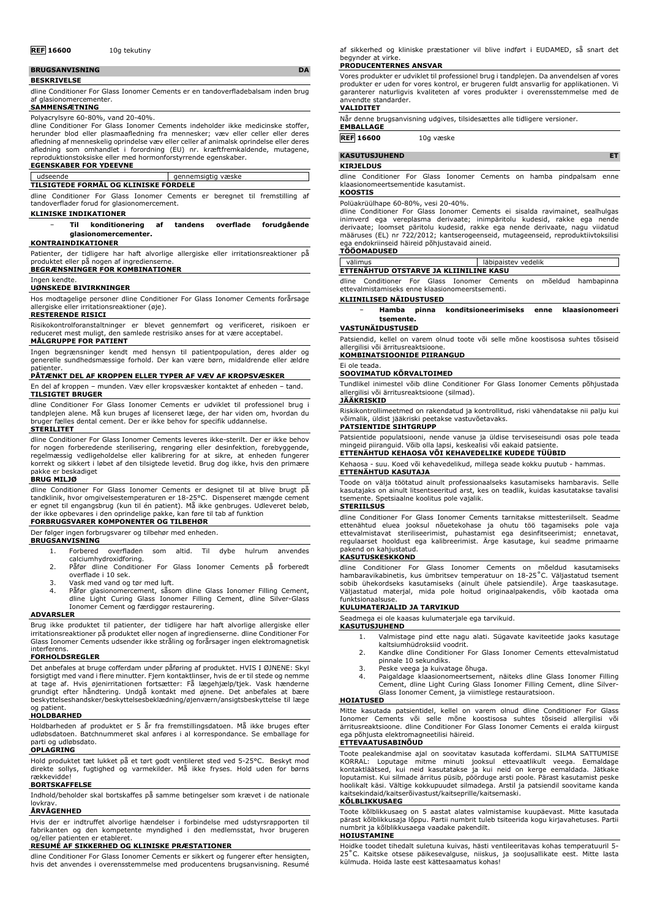## **REF 16600** 10g tekutiny

| <b>BRUGSANVISNING</b>                                                            | DA |
|----------------------------------------------------------------------------------|----|
| <b>BESKRIVELSE</b>                                                               |    |
| dline Conditioner For Glass Ionomer Cements er en tandoverfladebalsam inden brug |    |

af glasionomercementer. **SAMMENSÆTNING**

#### Polyacrylsyre 60-80%, vand 20-40%.

dline Conditioner For Glass Ionomer Cements indeholder ikke medicinske stoffer, herunder blod eller plasmaafledning fra mennesker; væv eller celler eller deres afledning af menneskelig oprindelse væv eller celler af animalsk oprindelse eller deres afledning som omhandlet i forordning (EU) nr. kræftfremkaldende, mutagene, reproduktionstoksiske eller med hormonforstyrrende egenskaber.

## **EGENSKABER FOR YDEEVNE**

udseende gennemsigtig væske

## **TILSIGTEDE FORMÅL OG KLINISKE FORDELE**

dline Conditioner For Glass Ionomer Cements er beregnet til fremstilling af tandoverflader forud for glasionomercement.

#### **KLINISKE INDIKATIONER**

### − **Til konditionering af tandens overflade forudgående glasionomercementer. KONTRAINDIKATIONER**

Patienter, der tidligere har haft alvorlige allergiske eller irritationsreaktioner på produktet eller på nogen af ingredienserne.

**BEGRÆNSNINGER FOR KOMBINATIONER**

## Ingen kendte.

**UØNSKEDE BIVIRKNINGER**

Hos modtagelige personer dline Conditioner For Glass Ionomer Cements forårsage allergiske eller irritationsreaktioner (øje).

## **RESTERENDE RISICI**

Risikokontrolforanstaltninger er blevet gennemført og verificeret, risikoen er reduceret mest muligt, den samlede restrisiko anses for at være acceptabel. **MÅLGRUPPE FOR PATIENT**

Ingen begrænsninger kendt med hensyn til patientpopulation, deres alder og generelle sundhedsmæssige forhold. Der kan være børn, midaldrende eller ældre patienter.

## **PÅTÆNKT DEL AF KROPPEN ELLER TYPER AF VÆV AF KROPSVÆSKER**

En del af kroppen – munden. Væv eller kropsvæsker kontaktet af enheden – tand. **TILSIGTET BRUGER**

dline Conditioner For Glass Ionomer Cements er udviklet til professionel brug i tandplejen alene. Må kun bruges af licenseret læge, der har viden om, hvordan du bruger fælles dental cement. Der er ikke behov for specifik uddannelse.

#### **STERILITET**

dline Conditioner For Glass Ionomer Cements leveres ikke-sterilt. Der er ikke behov for nogen forberedende sterilisering, rengøring eller desinfektion, forebyggende, regelmæssig vedligeholdelse eller kalibrering for at sikre, at enheden fungerer korrekt og sikkert i løbet af den tilsigtede levetid. Brug dog ikke, hvis den primære pakke er beskadiget **BRUG MILJØ**

# dline Conditioner For Glass Ionomer Cements er designet til at blive brugt på<br>tandklinik, hvor omgivelsestemperaturen er 18-25°C. Dispenseret mængde cement<br>er egnet til engangsbrug (kun til én patient). Må ikke genbruges. der ikke opbevares i den oprindelige pakke, kan føre til tab af funktion

### **FORBRUGSVARER KOMPONENTER OG TILBEHØR** Der følger ingen forbrugsvarer og tilbehør med enheden.

**BRUGSANVISNING**

- 1. Forbered overfladen som altid. Til dybe hulrum anvendes calciumhydroxidforing.
- 2. Påfør dline Conditioner For Glass Ionomer Cements på forberedt overflade i 10 sek.
- 
- 3. Vask med vand og tør med luft. 4. Påfør glasionomercement, såsom dline Glass Ionomer Filling Cement, dline Light Curing Glass Ionomer Filling Cement, dline Silver-Glass Ionomer Cement og færdiggør restaurering.

#### **ADVARSLER**

Brug ikke produktet til patienter, der tidligere har haft alvorlige allergiske eller irritationsreaktioner på produktet eller nogen af ingredienserne. dline Conditioner For Glass Ionomer Cements udsender ikke stråling og forårsager ingen elektromagnetisk interferens.

#### **FORHOLDSREGLER**

Det anbefales at bruge cofferdam under påføring af produktet. HVIS I ØJNENE: Skyl forsigtigt med vand i flere minutter. Fjern kontaktlinser, hvis de er til stede og nemme at tage af. Hvis øjenirritationen fortsætter: Få lægehjælp/tjek. Vask hænderne grundigt efter håndtering. Undgå kontakt med øjnene. Det anbefales at bære beskyttelseshandsker/beskyttelsesbeklædning/øjenværn/ansigtsbeskyttelse til læge og patient.

#### **HOLDBARHED**

Holdbarheden af produktet er 5 år fra fremstillingsdatoen. Må ikke bruges efter udløbsdatoen. Batchnummeret skal anføres i al korrespondance. Se emballage for parti og udløbsdato.

### **OPLAGRING**

Hold produktet tæt lukket på et tørt godt ventileret sted ved 5-25°C. Beskyt mod direkte sollys, fugtighed og varmekilder. Må ikke fryses. Hold uden for børns rækkevidde!

## **BORTSKAFFELSE**

Indhold/beholder skal bortskaffes på samme betingelser som krævet i de nationale lovkrav.

#### **ÅRVÅGENHED**

Hvis der er indtruffet alvorlige hændelser i forbindelse med udstyrsrapporten til fabrikanten og den kompetente myndighed i den medlemsstat, hvor brugeren og/eller patienten er etableret.

## **RESUMÉ AF SIKKERHED OG KLINISKE PRÆSTATIONER**

dline Conditioner For Glass Ionomer Cements er sikkert og fungerer efter hensigten, hvis det anvendes i overensstemmelse med producentens brugsanvisning. Resumé af sikkerhed og kliniske præstationer vil blive indført i EUDAMED, så snart det begynder at virke.

### **PRODUCENTERNES ANSVAR**

Vores produkter er udviklet til professionel brug i tandplejen. Da anvendelsen af vores produkter er uden for vores kontrol, er brugeren fuldt ansvarlig for applikationen. Vi garanterer naturligvis kvaliteten af vores produkter i overensstemmelse med de anvendte standarder. **VALIDITET**

| Når denne brugsanvisning udgives, tilsidesættes alle tidligere versioner.<br><b>EMBALLAGE</b>               |           |  |  |  |  |  |    |
|-------------------------------------------------------------------------------------------------------------|-----------|--|--|--|--|--|----|
| <b>REF 16600</b>                                                                                            | 10g væske |  |  |  |  |  |    |
| <b>KASUTUSJUHEND</b><br><b>KIRJELDUS</b>                                                                    |           |  |  |  |  |  | EТ |
| dline Conditioner For Glass Ionomer Cements on hamba pindpalsam enne<br>klaasionomeertsementide kasutamist. |           |  |  |  |  |  |    |

#### **KOOSTIS**

Polüakrüülhape 60-80%, vesi 20-40%. dline Conditioner For Glass Ionomer Cements ei sisalda ravimainet, sealhulgas inimverd ega vereplasma derivaate; inimpäritolu kudesid, rakke ega nende derivaate; loomset päritolu kudesid, rakke ega nende derivaate, nagu viidatud

määruses (EL) nr 722/2012; kantserogeenseid, mutageenseid, reproduktiivtoksilisi ega endokriinseid häireid põhjustavaid aineid. **TÖÖOMADUSED**

välimus läbipaistev vedelik **ETTENÄHTUD OTSTARVE JA KLIINILINE KASU** dline Conditioner For Glass Ionomer Cements on mõeldud hambapinna

ettevalmistamiseks enne klaasionomeerstsementi.

### **KLIINILISED NÄIDUSTUSED**

− **Hamba pinna konditsioneerimiseks enne klaasionomeeri tsemente.**

#### **VASTUNÄIDUSTUSED**

Patsiendid, kellel on varem olnud toote või selle mõne koostisosa suhtes tõsiseid allergilisi või ärritusreaktsioon **KOMBINATSIOONIDE PIIRANGUD**

#### Ei ole teada. **SOOVIMATUD KÕRVALTOIMED**

Tundlikel inimestel võib dline Conditioner For Glass Ionomer Cements põhjustada allergilisi või ärritusreaktsioone (silmad).

#### **JÄÄKRISKID**

Riskikontrollimeetmed on rakendatud ja kontrollitud, riski vähendatakse nii palju kui võimalik, üldist jääkriski peetakse vastuvõetavaks.

## **PATSIENTIDE SIHTGRUPP**

Patsientide populatsiooni, nende vanuse ja üldise terviseseisundi osas pole teada mingeid piiranguid. Võib olla lapsi, keskealisi või eakaid patsiente. **ETTENÄHTUD KEHAOSA VÕI KEHAVEDELIKE KUDEDE TÜÜBID**

Kehaosa - suu. Koed või kehavedelikud, millega seade kokku puutub - hammas. **ETTENÄHTUD KASUTAJA**

Toode on välja töötatud ainult professionaalseks kasutamiseks hambaravis. Selle kasutajaks on ainult litsentseeritud arst, kes on teadlik, kuidas kasutatakse tavalisi tsemente. Spetsiaalne koolitus pole vajalik.

## **STERIILSUS**

dline Conditioner For Glass Ionomer Cements tarnitakse mittesteriilselt. Seadme ettenähtud eluea jooksul nõuetekohase ja ohutu töö tagamiseks pole vaja ettevalmistavat steriliseerimist, puhastamist ega desinfitseerimist; ennetavat, regulaarset hooldust ega kalibreerimist. Ärge kasutage, kui seadme primaarne pakend on kahjustatud. **KASUTUSKESKKOND**

dline Conditioner For Glass Ionomer Cements on mõeldud kasutamiseks hambaravikabinetis, kus ümbritsev temperatuur on 18-25˚C. Väljastatud tsement sobib ühekordseks kasutamiseks (ainult ühele patsiendile). Ärge taaskasutage. Väljastatud materjal, mida pole hoitud originaalpakendis, võib kaotada oma funktsionaalsuse.

### **KULUMATERJALID JA TARVIKUD**

Seadmega ei ole kaasas kulumaterjale ega tarvikuid.

## **KASUTUSJUHEND**

- 1. Valmistage pind ette nagu alati. Sügavate kaviteetide jaoks kasutage kaltsiumhüdroksiid voodrit. 2. Kandke dline Conditioner For Glass Ionomer Cements ettevalmistatud
- pinnale 10 sekundiks.
- 
- 3. Peske veega ja kuivatage õhuga. 4. Paigaldage klaasionomeertsement, näiteks dline Glass Ionomer Filling Cement, dline Light Curing Glass Ionomer Filling Cement, dline Silver-Glass Ionomer Cement, ja viimistlege restauratsioon.

#### **HOIATUSED**

Mitte kasutada patsientidel, kellel on varem olnud dline Conditioner For Glass Ionomer Cements või selle mõne koostisosa suhtes tõsiseid allergilisi või ärritusreaktsioone. dline Conditioner For Glass Ionomer Cements ei eralda kiirgust ega põhjusta elektromagneetilisi häireid.

## **ETTEVAATUSABINÕUD**

Toote pealekandmise ajal on soovitatav kasutada kofferdami. SILMA SATTUMISE KORRAL: Loputage mitme minuti jooksul ettevaatlikult veega. Eemaldage kontaktläätsed, kui neid kasutatakse ja kui neid on kerge eemaldada. Jätkake loputamist. Kui silmade ärritus püsib, pöörduge arsti poole. Pärast kasutamist peske hoolikalt käsi. Vältige kokkupuudet silmadega. Arstil ja patsiendil soovitame kanda kaitsekindaid/kaitserõivastust/kaitseprille/kaitsemaski.

#### **KÕLBLIKKUSAEG**

Toote kõlblikkusaeg on 5 aastat alates valmistamise kuupäevast. Mitte kasutada pärast kõlblikkusaja lõppu. Partii numbrit tuleb tsiteerida kogu kirjavahetuses. Partii numbrit ja kõlblikkusaega vaadake pakendilt.

#### **HOIUSTAMINE**

Hoidke toodet tihedalt suletuna kuivas, hästi ventileeritavas kohas temperatuuril 5- 25˚C. Kaitske otsese päikesevalguse, niiskus, ja soojusallikate eest. Mitte lasta külmuda. Hoida laste eest kättesaamatus kohas!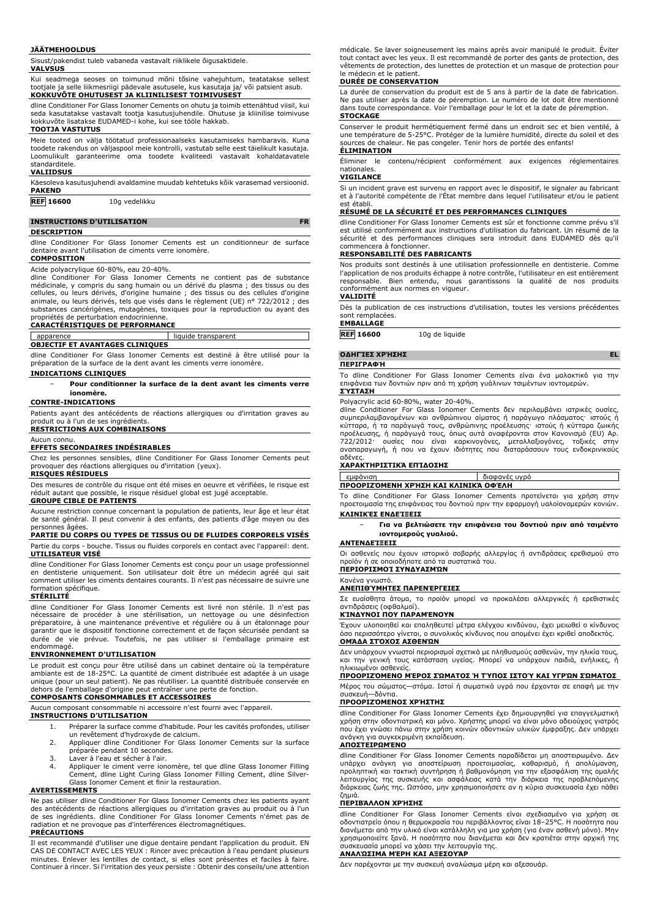#### **JÄÄTMEHOOLDUS**

Sisust/pakendist tuleb vabaneda vastavalt riiklikele õigusaktidele.

## **VALVSUS**

Kui seadmega seoses on toimunud mõni tõsine vahejuhtum, teatatakse sellest tootjale ja selle liikmesriigi pädevale asutusele, kus kasutaja ja/ või patsient asub. **KOKKUVÕTE OHUTUSEST JA KLIINILISEST TOIMIVUSEST**

dline Conditioner For Glass Ionomer Cements on ohutu ja toimib ettenähtud viisil, kui seda kasutatakse vastavalt tootja kasutusjuhendile. Ohutuse ja kliinilise toimivuse kokkuvõte lisatakse EUDAMED-i kohe, kui see tööle hakkab.

#### **TOOTJA VASTUTUS**

Meie tooted on välja töötatud professionaalseks kasutamiseks hambaravis. Kuna toodete rakendus on väljaspool meie kontrolli, vastutab selle eest täielikult kasutaja. Loomulikult garanteerime oma toodete kvaliteedi vastavalt kohaldatavatele standarditele.

### **VALIIDSUS**

Käesoleva kasutusjuhendi avaldamine muudab kehtetuks kõik varasemad versioonid. **PAKEND**

**REF 16600** 10g vedelikku

## **INSTRUCTIONS D'UTILISATION FR**

#### **DESCRIPTION**

dline Conditioner For Glass Ionomer Cements est un conditionneur de surface dentaire avant l'utilisation de ciments verre ionomère. **COMPOSITION**

## Acide polyacrylique 60-80%, eau 20-40%.

dline Conditioner For Glass Ionomer Cements ne contient pas de substance médicinale, y compris du sang humain ou un dérivé du plasma ; des tissus ou des cellules, ou leurs dérivés, d'origine humaine ; des tissus ou des cellules d'origine<br>animale, ou leurs dérivés, tels que visés dans le règlement (UE) n° 722/2012 ; des<br>substances cancérigènes, mutagènes, toxiques pour la r propriétés de perturbation endocrinienne.

### **CARACTÉRISTIQUES DE PERFORMANCE**

apparence liquide transparent

#### **OBJECTIF ET AVANTAGES CLINIQUES**

dline Conditioner For Glass Ionomer Cements est destiné à être utilisé pour la préparation de la surface de la dent avant les ciments verre ionomère.

## **INDICATIONS CLINIQUES**

#### − **Pour conditionner la surface de la dent avant les ciments verre ionomère.**

#### **CONTRE-INDICATIONS**

Patients ayant des antécédents de réactions allergiques ou d'irritation graves au produit ou à l'un de ses ingrédients.

**RESTRICTIONS AUX COMBINAISONS** Aucun connu.

## **EFFETS SECONDAIRES INDÉSIRABLES**

Chez les personnes sensibles, dline Conditioner For Glass Ionomer Cements peut provoquer des réactions allergiques ou d'irritation (yeux). **RISQUES RÉSIDUELS**

## Des mesures de contrôle du risque ont été mises en oeuvre et vérifiées, le risque est réduit autant que possible, le risque résiduel global est jugé acceptable.

### **GROUPE CIBLE DE PATIENTS**

Aucune restriction connue concernant la population de patients, leur âge et leur état de santé général. Il peut convenir à des enfants, des patients d'âge moyen ou des

## personnes âgées. **PARTIE DU CORPS OU TYPES DE TISSUS OU DE FLUIDES CORPORELS VISÉS** Partie du corps - bouche. Tissus ou fluides corporels en contact avec l'appareil: dent. **UTILISATEUR VISÉ**

dline Conditioner For Glass Ionomer Cements est conçu pour un usage professionnel en dentisterie uniquement. Son utilisateur doit être un médecin agréé qui sait comment utiliser les ciments dentaires courants. Il n'est pas nécessaire de suivre une formation spécifique.

## **STÉRILITÉ**

dline Conditioner For Glass Ionomer Cements est livré non stérile. Il n'est pas nécessaire de procéder à une stérilisation, un nettoyage ou une désinfection préparatoire, à une maintenance préventive et régulière ou à un étalonnage pour garantir que le dispositif fonctionne correctement et de façon sécurisée pendant sa durée de vie prévue. Toutefois, ne pas utiliser si l'emballage primaire est endommagé.

### **ENVIRONNEMENT D'UTILISATION**

Le produit est conçu pour être utilisé dans un cabinet dentaire où la température ambiante est de 18-25°C. La quantité de ciment distribuée est adaptée à un usage unique (pour un seul patient). Ne pas réutiliser. La quantité distribuée conservée en dehors de l'emballage d'origine peut entraîner une perte de fonction. **COMPOSANTS CONSOMMABLES ET ACCESSOIRES**

#### Aucun composant consommable ni accessoire n'est fourni avec l'appareil.

**INSTRUCTIONS D'UTILISATION**

- 1. Préparer la surface comme d'habitude. Pour les cavités profondes, utiliser
- un revêtement d'hydroxyde de calcium. 2. Appliquer dline Conditioner For Glass Ionomer Cements sur la surface préparée pendant 10 secondes.
- 
- 3. Laver à l'eau et sécher à l'air.<br>4. Appliquer le ciment verre ion
- 4. Appliquer le ciment verre ionomère, tel que dline Glass Ionomer Filling Cement, dline Light Curing Glass Ionomer Filling Cement, dline Silver-Glass Ionomer Cement et finir la restauration.

#### **AVERTISSEMENTS**

Ne pas utiliser dline Conditioner For Glass Ionomer Cements chez les patients ayant des antécédents de réactions allergiques ou d'irritation graves au produit ou à l'un de ses ingrédients. dline Conditioner For Glass Ionomer Cements n'émet pas de radiation et ne provoque pas d'interférences électromagnétiques.

## **PRÉCAUTIONS**

Il est recommandé d'utiliser une digue dentaire pendant l'application du produit. EN CAS DE CONTACT AVEC LES YEUX : Rincer avec précaution à l'eau pendant plusieurs minutes. Enlever les lentilles de contact, si elles sont présentes et faciles à faire. Continuer à rincer. Si l'irritation des yeux persiste : Obtenir des conseils/une attention médicale. Se laver soigneusement les mains après avoir manipulé le produit. Éviter tout contact avec les yeux. Il est recommandé de porter des gants de protection, des vêtements de protection, des lunettes de protection et un masque de protection pour le médecin et le patient.

#### **DURÉE DE CONSERVATION**

La durée de conservation du produit est de 5 ans à partir de la date de fabrication. Ne pas utiliser après la date de péremption. Le numéro de lot doit être mentionné dans toute correspondance. Voir l'emballage pour le lot et la date de péremption. **STOCKAGE**

Conserver le produit hermétiquement fermé dans un endroit sec et bien ventilé, à une température de 5-25°C. Protéger de la lumière humidité, directe du soleil et des sources de chaleur. Ne pas congeler. Tenir hors de portée des enfants! **ÉLIMINATION**

Éliminer le contenu/récipient conformément aux exigences réglementaires nationales.

#### **VIGILANCE**

Si un incident grave est survenu en rapport avec le dispositif, le signaler au fabricant et à l'autorité compétente de l'État membre dans lequel l'utilisateur et/ou le patient est établi.

## **RÉSUMÉ DE LA SÉCURITÉ ET DES PERFORMANCES CLINIQUES**

dline Conditioner For Glass Ionomer Cements est sûr et fonctionne comme prévu s'il est utilisé conformément aux instructions d'utilisation du fabricant. Un résumé de la sécurité et des performances cliniques sera introduit dans EUDAMED dès qu'il commencera à fonctionner.

### **RESPONSABILITÉ DES FABRICANTS**

Nos produits sont destinés à une utilisation professionnelle en dentisterie. Comme l'application de nos produits échappe à notre contrôle, l'utilisateur en est entièrement responsable. Bien entendu, nous garantissons la qualité de nos produits conformément aux normes en vigueur. **VALIDITÉ**

Dès la publication de ces instructions d'utilisation, toutes les versions précédentes sont remplacées.

## **EMBALLAGE**

**REF 16600** 10g de liquide

#### **ΟΔΗΓΊΕΣ ΧΡΉΣΗΣ EL**

**ΠΕΡΙΓΡΑΦΉ**

Το dline Conditioner For Glass Ionomer Cements είναι ένα μαλακτικό για την επιφάνεια των δοντιών πριν από τη χρήση γυάλινων τσιμέντων ιοντομερών. **ΣΎΣΤΑΣΗ**

#### Polyacrylic acid 60-80%, water 20-40%.

dline Conditioner For Glass Ionomer Cements δεν περιλαμβάνει ιατρικές ουσίες, συμπεριλαμβανομένων και ανθρώπινου αίματος ή παράγωγο πλάσματος· ιστούς ή κύτταρα, ή τα παράγωγά τους, ανθρώπινης προέλευσης· ιστούς ή κύτταρα ζωικής προέλευσης, ή παράγωγά τους, όπως αυτά αναφέρονται στον Κανονισμό (EU) Αρ.<br>722/2012· ουσίες που είναι καρκινογόνες, μεταλλαξιογόνες, τοξικές στην<br>αναπαραγωγή, ή που να έχουν ιδιότητες που διαταράσσ αδένες.

#### **ΧΑΡΑΚΤΗΡΙΣΤΙΚΆ ΕΠΊΔΟΣΗΣ**

εμφάνιση διαφανές υγρό

**ΠΡΟΟΡΙΖΌΜΕΝΗ ΧΡΉΣΗ ΚΑΙ ΚΛΙΝΙΚΆ ΟΦΈΛΗ**

Το dline Conditioner For Glass Ionomer Cements προτείνεται για χρήση στην προετοιμασία της επιφάνειας του δοντιού πριν την εφαρμογή υαλοϊονομερών κονιών. **ΚΛΙΝΙΚΈΣ ΕΝΔΕΊΞΕΙΣ**

## − **Για να βελτιώσετε την επιφάνεια του δοντιού πριν από τσιμέντο**

#### **ιοντομερούς γυαλιού. ΑΝΤΕΝΔΕΊΞΕΙΣ**

Οι ασθενείς που έχουν ιστορικό σοβαρής αλλεργίας ή αντιδράσεις ερεθισμού στο προϊόν ή σε οποιοδήποτε από τα συστατικά του. **ΠΕΡΙΟΡΙΣΜΟΊ ΣΥΝΔΥΑΣΜΏΝ**

## Κανένα γνωστό.

### **ΑΝΕΠΙΘΎΜΗΤΕΣ ΠΑΡΕΝΈΡΓΕΙΕΣ**

Σε ευαίσθητα άτομα, το προϊόν μπορεί να προκαλέσει αλλεργικές ή ερεθιστικές αντιδράσεις (οφθαλμοί).

## **ΚΊΝΔΥΝΟΙ ΠΟΥ ΠΑΡΑΜΈΝΟΥΝ**

Έχουν υλοποιηθεί και επαληθευτεί μέτρα ελέγχου κινδύνου, έχει μειωθεί ο κίνδυνος όσο περισσότερο γίνεται, ο συνολικός κίνδυνος που απομένει έχει κριθεί αποδεκτός. **ΟΜΆΔΑ ΣΤΌΧΟΣ ΑΣΘΕΝΏΝ**

Δεν υπάρχουν γνωστοί περιορισμοί σχετικά με πληθυσμούς ασθενών, την ηλικία τους, και την γενική τους κατάσταση υγείας. Μπορεί να υπάρχουν παιδιά, ενήλικες, ή ηλικιωμένοι ασθενείς.

## **ΠΡΟΟΡΙΖΌΜΕΝΟ ΜΈΡΟΣ ΣΏΜΑΤΟΣ Ή ΤΎΠΟΣ ΙΣΤΟΎ ΚΑΙ ΥΓΡΏΝ ΣΏΜΑΤΟΣ**

Μέρος του σώματος—στόμα. Ιστοί ή σωματικά υγρά που έρχονται σε επαφή με την συσκευή—δόντια.

## **ΠΡΟΟΡΙΖΌΜΕΝΟΣ ΧΡΉΣΤΗΣ**

dline Conditioner For Glass Ionomer Cements έχει δημιουργηθεί για επαγγελματική χρήση στην οδοντιατρική και μόνο. Χρήστης μπορεί να είναι μόνο αδειούχος γιατρός που έχει γνώσει πάνω στην χρήση κοινών οδοντικών υλικών έμφραξης. Δεν υπάρχει ανάγκη για συγκεκριμένη εκπαίδευση.

#### **ΑΠΟΣΤΕΙΡΩΜΈΝΟ**

dline Conditioner For Glass Ionomer Cements παραδίδεται μη αποστειρωμένο. Δεν υπάρχει ανάγκη για αποστείρωση προετοιμασίας, καθαρισμό, ή απολύμανση, προληπτική και τακτική συντήρηση ή βαθμονόμηση για την εξασφάλιση της ομαλής λειτουργίας της συσκευής και ασφάλειας κατά την διάρκεια της προβλεπόμενης διάρκειας ζωής της. Ωστόσο, μην χρησιμοποιήσετε αν η κύρια συσκευασία έχει πάθει ζημιά.

### **ΠΕΡΙΒΆΛΛΟΝ ΧΡΉΣΗΣ**

dline Conditioner For Glass Ionomer Cements είναι σχεδιασμένο για χρήση σε οδοντιατρείο όπου η θερμοκρασία του περιβάλλοντος είναι 18–25°C. Η ποσότητα που διανέμεται από την υλικό είναι κατάλληλη για μια χρήση (για έναν ασθενή μόνο). Μην χρησιμοποιείτε ξανά. Η ποσότητα που διανέμεται και δεν κρατιέται στην αρχική της συσκευασία μπορεί να χάσει την λειτουργία της. **ΑΝΑΛΏΣΙΜΑ ΜΈΡΗ ΚΑΙ ΑΞΕΣΟΥΆΡ**

Δεν παρέχονται με την συσκευή αναλώσιμα μέρη και αξεσουάρ.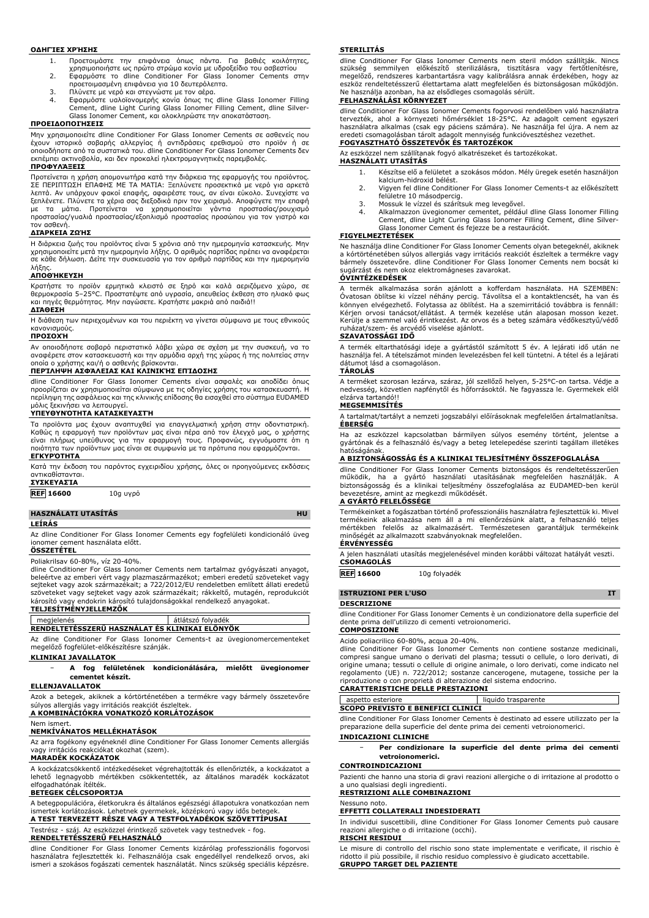#### **ΟΔΗΓΊΕΣ ΧΡΉΣΗΣ**

- 1. Προετοιμάστε την επιφάνεια όπως πάντα. Για βαθιές κοιλότητες, χρησιμοποιήστε ως πρώτο στρώμα κονία με υδροξείδιο του ασβεστίου 2. Εφαρμόστε το dline Conditioner For Glass Ionomer Cements στην
- προετοιμασμένη επιφάνεια για 10 δευτερόλεπτα.
- 
- 3. Πλύνετε με νερό και στεγνώστε με τον αέρα.<br>4. Εφαρμόστε υαλοϊονομερής κονία όπως τις 4. Εφαρμόστε υαλοϊονομερής κονία όπως τις dline Glass Ionomer Filling Cement, dline Light Curing Glass Ionomer Filling Cement, dline Silver-
- Glass Ionomer Cement, και ολοκληρώστε την αποκατάσταση.

#### **ΠΡΟΕΙΔΟΠΟΙΉΣΕΙΣ**

Μην χρησιμοποιείτε dline Conditioner For Glass Ionomer Cements σε ασθενείς που έχουν ιστορικό σοβαρής αλλεργίας ή αντιδράσεις ερεθισμού στο προϊόν ή σε οποιοδήποτε από τα συστατικά του. dline Conditioner For Glass Ionomer Cements δεν εκπέμπει ακτινοβολία, και δεν προκαλεί ηλεκτρομαγνητικές παρεμβολές.

#### **ΠΡΟΦΥΛΆΞΕΙΣ**

Προτείνεται η χρήση απομονωτήρα κατά την διάρκεια της εφαρμογής του προϊόντος. ΣΕ ΠΕΡΙΠΤΩΣΗ ΕΠΑΦΗΣ ΜΕ ΤΑ ΜΑΤΙΑ: Ξεπλύνετε προσεκτικά με νερό για αρκετά λεπτά. Αν υπάρχουν φακοί επαφής, αφαιρέστε τους, αν είναι εύκολο. Συνεχίστε να ξεπλένετε. Πλύνετε τα χέρια σας διεξοδικά πριν τον χειρισμό. Αποφύγετε την επαφή με τα μάτια. Προτείνεται να χρησιμοποιείται γάντια προστασίας/ρουχισμό προστασίας/γυαλιά προστασίας/εξοπλισμό προστασίας προσώπου για τον γιατρό και τον ασθενή.

## **ΔΙΆΡΚΕΙΑ ΖΩΉΣ**

Η διάρκεια ζωής του προϊόντος είναι 5 χρόνια από την ημερομηνία κατασκευής. Μην<br>χρησιμοποιείτε μετά την ημερομηνία λήξης. Ο αριθμός παρτίδας πρέπει να αναφέρεται<br>σε κάθε δήλωση. Δείτε την συσκευασία για τον αριθμό παρτίδα λήξης.

#### **ΑΠΟΘΉΚΕΥΣΗ**

Κρατήστε το προϊόν ερμητικά κλειστό σε ξηρό και καλά αεριζόμενο χώρο, σε θερμοκρασία 5–25°C. Προστατέψτε από υγρασία, απευθείας έκθεση στο ηλιακό φως και πηγές θερμότητας. Μην παγώσετε. Κρατήστε μακριά από παιδιά!!

## **ΔΙΆΘΕΣΗ**

Η διάθεση των περιεχομένων και του περιέκτη να γίνεται σύμφωνα με τους εθνικούς κανονισμούς.

### **ΠΡΟΣΟΧΉ**

Αν οποιοδήποτε σοβαρό περιστατικό λάβει χώρα σε σχέση με την συσκευή, να το αναφέρετε στον κατασκευαστή και την αρμόδια αρχή της χώρας ή της πολιτείας στην οποία ο χρήστης και/ή ο ασθενής βρίσκονται.

## **ΠΕΡΊΛΗΨΗ ΑΣΦΆΛΕΙΑΣ ΚΑΙ ΚΛΙΝΙΚΉΣ ΕΠΊΔΟΣΗΣ**

dline Conditioner For Glass Ionomer Cements είναι ασφαλές και αποδίδει όπως προορίζεται αν χρησιμοποιείται σύμφωνα με τις οδηγίες χρήσης του κατασκευαστή. Η περίληψη της ασφάλειας και της κλινικής επίδοσης θα εισαχθεί στο σύστημα EUDAMED μόλις ξεκινήσει να λειτουργεί.

#### **ΥΠΕΥΘΥΝΌΤΗΤΑ ΚΑΤΑΣΚΕΥΑΣΤΉ**

Τα προϊόντα μας έχουν αναπτυχθεί για επαγγελματική χρήση στην οδοντιατρική. Καθώς η εφαρμογή των προϊόντων μας είναι πέρα από τον έλεγχό μας, ο χρήστης είναι πλήρως υπεύθυνος για την εφαρμογή τους. Προφανώς, εγγυόμαστε ότι η ποιότητα των προϊόντων μας είναι σε συμφωνία με τα πρότυπα που εφαρμόζονται. **ΕΓΚΥΡΌΤΗΤΑ**

Κατά την έκδοση του παρόντος εγχειριδίου χρήσης, όλες οι προηγούμενες εκδόσεις αντικαθίστανται.

## **ΣΥΣΚΕΥΑΣΊΑ**

**REF 16600** 10g υγρό

#### **HASZNÁLATI UTASÍTÁS HU**

#### **LEÍRÁS**

Az dline Conditioner For Glass Ionomer Cements egy fogfelületi kondicionáló üveg ionomer cement használata előtt.

## **ÖSSZETÉTEL**

Poliakrilsav 60-80%, víz 20-40%. dline Conditioner For Glass Ionomer Cements nem tartalmaz gyógyászati anyagot, beleértve az emberi vért vagy plazmaszármazékot; emberi eredetű szöveteket vagy sejteket vagy azok származékait; a 722/2012/EU rendeletben említett állati eredetű szöveteket vagy sejteket vagy azok származékait; rákkeltő, mutagén, reprodukciót károsító vagy endokrin károsító tulajdonságokkal rendelkező anyagokat.

## **TELJESÍTMÉNYJELLEMZŐK**

#### megjelenés **átlátszó folyadé**k **RENDELTETÉSSZERŰ HASZNÁLAT ÉS KLINIKAI ELŐNYÖK**

Az dline Conditioner For Glass Ionomer Cements-t az üvegionomercementeket megelőző fogfelület-előkészítésre szánják.

#### **KLINIKAI JAVALLATOK**

#### − **A fog felületének kondicionálására, mielőtt üvegionomer cementet készít.**

#### **ELLENJAVALLATOK**

Azok a betegek, akiknek a kórtörténetében a termékre vagy bármely összetevőre súlyos allergiás vagy irritációs reakciót észleltek.

**A KOMBINÁCIÓKRA VONATKOZÓ KORLÁTOZÁSOK**

#### Nem ismert. **NEMKÍVÁNATOS MELLÉKHATÁSOK**

Az arra fogékony egyéneknél dline Conditioner For Glass Ionomer Cements allergiás vagy irritációs reakciókat okozhat (szem).

## **MARADÉK KOCKÁZATOK**

A kockázatcsökkentő intézkedéseket végrehajtották és ellenőrizték, a kockázatot a lehető legnagyobb mértékben csökkentették, az általános maradék kockázatot elfogadhatónak ítélték.

#### **BETEGEK CÉLCSOPORTJA**

A betegpopulációra, életkorukra és általános egészségi állapotukra vonatkozóan nem ismertek korlátozások. Lehetnek gyermekek, középkorú vagy idős betegek. **A TEST TERVEZETT RÉSZE VAGY A TESTFOLYADÉKOK SZÖVETTÍPUSAI**

Testrész - száj. Az eszközzel érintkező szövetek vagy testnedvek - fog.

## **RENDELTETÉSSZERŰ FELHASZNÁLÓ**

dline Conditioner For Glass Ionomer Cements kizárólag professzionális fogorvosi használatra fejlesztették ki. Felhasználója csak engedéllyel rendelkező orvos, aki ismeri a szokásos fogászati cementek használatát. Nincs szükség speciális képzésre.

#### **STERILITÁS**

dline Conditioner For Glass Ionomer Cements nem steril módon szállítják. Nincs szükség semmilyen előkészítő sterilizálásra, tisztításra vagy fertőtlenítésre, megelőző, rendszeres karbantartásra vagy kalibrálásra annak érdekében, hogy az eszköz rendeltetésszerű élettartama alatt megfelelően és biztonságosan működjön. Ne használja azonban, ha az elsődleges csomagolás sérült. **FELHASZNÁLÁSI KÖRNYEZET**

dline Conditioner For Glass Ionomer Cements fogorvosi rendelőben való használatra tervezték, ahol a környezeti hömérséklet 18-25°C. Az adagolt cement egyszeri<br>használatra alkalmas (csak egy páciens számára). Ne használja fel újra. A nem az<br>eredeti csomagolásban tárolt adagolt mennyiség funkcióvesztéshez

## **FOGYASZTHATÓ ÖSSZETEVŐK ÉS TARTOZÉKOK**

Az eszközzel nem szállítanak fogyó alkatrészeket és tartozékokat. **HASZNÁLATI UTASÍTÁS**

- 1. Készítse elő a felületet a szokásos módon. Mély üregek esetén használjon kalcium-hidroxid bélést.
- 2. Vigyen fel dline Conditioner For Glass Ionomer Cements-t az előkészített
- felületre 10 másodpercig. 3. Mossuk le vízzel és szárítsuk meg levegővel.
- 4. Alkalmazzon üvegionomer cementet, például dline Glass Ionomer Filling Cement, dline Light Curing Glass Ionomer Filling Cement, dline Silver-Glass Ionomer Cement és fejezze be a restaurációt.

## **FIGYELMEZTETÉSEK**

Ne használja dline Conditioner For Glass Ionomer Cements olyan betegeknél, akiknek a kórtörténetében súlyos allergiás vagy irritációs reakciót észleltek a termékre vagy bármely összetevőre. dline Conditioner For Glass Ionomer Cements nem bocsát ki sugárzást és nem okoz elektromágneses zavarokat. **ÓVINTÉZKEDÉSEK**

A termék alkalmazása során ajánlott a kofferdam használata. HA SZEMBEN: Óvatosan öblítse ki vízzel néhány percig. Távolítsa el a kontaktlencsét, ha van és könnyen elvégezhető. Folytassa az öblítést. Ha a szemirritáció továbbra is fennáll: Kérjen orvosi tanácsot/ellátást. A termék kezelése után alaposan mosson kezet. Kerülje a szemmel való érintkezést. Az orvos és a beteg számára védőkesztyű/védő ruházat/szem- és arcvédő viselése ajánlott.

### **SZAVATOSSÁGI IDŐ**

A termék eltarthatósági ideje a gyártástól számított 5 év. A lejárati idő után ne használja fel. A tételszámot minden levelezésben fel kell tüntetni. A tétel és a lejárati dátumot lásd a csomagoláson.

#### **TÁROLÁS**

A terméket szorosan lezárva, száraz, jól szellőző helyen, 5-25°C-on tartsa. Védje a nedvesség, közvetlen napfénytől és hőforrásoktól. Ne fagyassza le. Gyermekek elől elzárva tartandó!!

#### **MEGSEMMISÍTÉS**

A tartalmat/tartályt a nemzeti jogszabályi előírásoknak megfelelően ártalmatlanítsa. **ÉBERSÉG**

Ha az eszközzel kapcsolatban bármilyen súlyos esemény történt, jelentse a gyártónak és a felhasználó és/vagy a beteg letelepedése szerinti tagállam illetékes hatóságának.

## **A BIZTONSÁGOSSÁG ÉS A KLINIKAI TELJESÍTMÉNY ÖSSZEFOGLALÁSA**

dline Conditioner For Glass Ionomer Cements biztonságos és rendeltetésszerűen működik, ha a gyártó használati utasításának megfelelően használják. A biztonságosság és a klinikai teljesítmény összefoglalása az EUDAMED-ben kerül bevezetésre, amint az megkezdi működését.

## **A GYÁRTÓ FELELŐSSÉGE**

Termékeinket a fogászatban történő professzionális használatra fejlesztettük ki. Mivel termékeink alkalmazása nem áll a mi ellenőrzésünk alatt, a felhasználó teljes mértékben felelős az alkalmazásért. Természetesen garantáljuk termékeink minőségét az alkalmazott szabványoknak megfelelően. **ÉRVÉNYESSÉG**

A jelen használati utasítás megjelenésével minden korábbi változat hatályát veszti. **CSOMAGOLÁS**

**REF 16600** 10g folyadék

# **ISTRUZIONI PER L'USO IT**

**DESCRIZIONE**

dline Conditioner For Glass Ionomer Cements è un condizionatore della superficie del dente prima dell'utilizzo di cementi vetroionomerici.

## **COMPOSIZIONE**

Acido poliacrilico 60-80%, acqua 20-40%.

dline Conditioner For Glass Ionomer Cements non contiene sostanze medicinali, compresi sangue umano o derivati del plasma; tessuti o cellule, o loro derivati, di origine umana; tessuti o cellule di origine animale, o loro derivati, come indicato nel regolamento (UE) n. 722/2012; sostanze cancerogene, mutagene, tossiche per la riproduzione o con proprietà di alterazione del sistema endocrino. **CARATTERISTICHE DELLE PRESTAZIONI**

## aspetto esteriore liquido trasparente

**SCOPO PREVISTO E BENEFICI CLINICI**

dline Conditioner For Glass Ionomer Cements è destinato ad essere utilizzato per la preparazione della superficie del dente prima dei cementi vetroionomerici.

#### **INDICAZIONI CLINICHE**

− **Per condizionare la superficie del dente prima dei cementi vetroionomerici.**

#### **CONTROINDICAZIONI**

Pazienti che hanno una storia di gravi reazioni allergiche o di irritazione al prodotto o a uno qualsiasi degli ingredienti.

#### **RESTRIZIONI ALLE COMBINAZIONI** Nessuno noto.

## **EFFETTI COLLATERALI INDESIDERATI**

In individui suscettibili, dline Conditioner For Glass Ionomer Cements può causare reazioni allergiche o di irritazione (occhi).

## **RISCHI RESIDUI**

Le misure di controllo del rischio sono state implementate e verificate, il rischio è ridotto il più possibile, il rischio residuo complessivo è giudicato accettabile. **GRUPPO TARGET DEL PAZIENTE**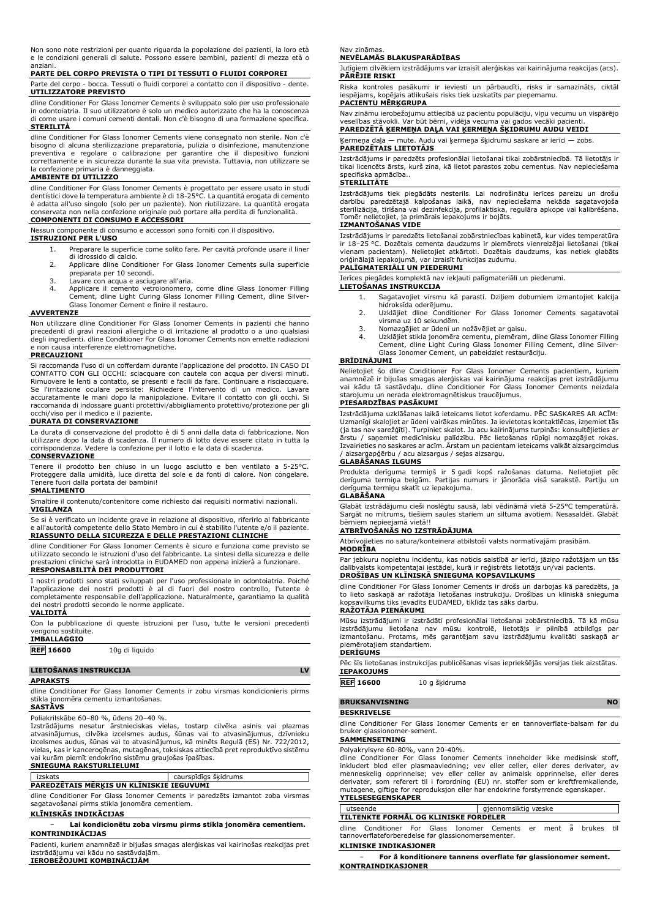Non sono note restrizioni per quanto riguarda la popolazione dei pazienti, la loro età e le condizioni generali di salute. Possono essere bambini, pazienti di mezza età o anziani.

#### **PARTE DEL CORPO PREVISTA O TIPI DI TESSUTI O FLUIDI CORPOREI**

Parte del corpo - bocca. Tessuti o fluidi corporei a contatto con il dispositivo - dente. **UTILIZZATORE PREVISTO**

dline Conditioner For Glass Ionomer Cements è sviluppato solo per uso professionale in odontoiatria. Il suo utilizzatore è solo un medico autorizzato che ha la conoscenza di come usare i comuni cementi dentali. Non c'è bisogno di una formazione specifica. **STERILITÀ**

dline Conditioner For Glass Ionomer Cements viene consegnato non sterile. Non c'è bisogno di alcuna sterilizzazione preparatoria, pulizia o disinfezione, manutenzione<br>preventiva e regolare o calibrazione per garantire che il dispositivo funzioni<br>correttamente e in sicurezza durante la sua vita la confezione primaria è danneggiata.

#### **AMBIENTE DI UTILIZZO**

dline Conditioner For Glass Ionomer Cements è progettato per essere usato in studi dentistici dove la temperatura ambiente è di 18-25°C. La quantità erogata di cemento è adatta all'uso singolo (solo per un paziente). Non riutilizzare. La quantità erogata conservata non nella confezione originale può portare alla perdita di funzionalità.

## **COMPONENTI DI CONSUMO E ACCESSORI**

Nessun componente di consumo e accessori sono forniti con il dispositivo.

## **ISTRUZIONI PER L'USO**

- 1. Preparare la superficie come solito fare. Per cavità profonde usare il liner di idrossido di calcio.
- 2. Applicare dline Conditioner For Glass Ionomer Cements sulla superficie preparata per 10 secondi.
- 3. Lavare con acqua e asciugare all'aria.
- 4. Applicare il cemento vetroionomero, come dline Glass Ionomer Filling Cement, dline Light Curing Glass Ionomer Filling Cement, dline Silver-Glass Ionomer Cement e finire il restauro.

#### **AVVERTENZE**

Non utilizzare dline Conditioner For Glass Ionomer Cements in pazienti che hanno precedenti di gravi reazioni allergiche o di irritazione al prodotto o a uno qualsiasi degli ingredienti. dline Conditioner For Glass Ionomer Cements non emette radiazioni e non causa interferenze elettromagnetiche.

#### **PRECAUZIONI**

Si raccomanda l'uso di un cofferdam durante l'applicazione del prodotto. IN CASO DI CONTATTO CON GLI OCCHI: sciacquare con cautela con acqua per diversi minuti. Rimuovere le lenti a contatto, se presenti e facili da fare. Continuare a risciacquare.<br>Se l'irritazione oculare persiste: Richiedere l'intervento di un medico. Lavare<br>accuratamente le mani dopo la manipolazione. E raccomanda di indossare guanti protettivi/abbigliamento protettivo/protezione per gli occhi/viso per il medico e il paziente.

### **DURATA DI CONSERVAZIONE**

La durata di conservazione del prodotto è di 5 anni dalla data di fabbricazione. Non utilizzare dopo la data di scadenza. Il numero di lotto deve essere citato in tutta la corrispondenza. Vedere la confezione per il lotto e la data di scadenza.

#### **CONSERVAZIONE**

Tenere il prodotto ben chiuso in un luogo asciutto e ben ventilato a 5-25°C. Proteggere dalla umidità, luce diretta del sole e da fonti di calore. Non congelare. Tenere fuori dalla portata dei bambini!

## **SMALTIMENTO**

Smaltire il contenuto/contenitore come richiesto dai requisiti normativi nazionali. **VIGILANZA**

Se si è verificato un incidente grave in relazione al dispositivo, riferirlo al fabbricante e all'autorità competente dello Stato Membro in cui è stabilito l'utente e/o il paziente. **RIASSUNTO DELLA SICUREZZA E DELLE PRESTAZIONI CLINICHE**

dline Conditioner For Glass Ionomer Cements è sicuro e funziona come previsto se utilizzato secondo le istruzioni d'uso del fabbricante. La sintesi della sicurezza e delle prestazioni cliniche sarà introdotta in EUDAMED non appena inizierà a funzionare. **RESPONSABILITÀ DEI PRODUTTORI**

I nostri prodotti sono stati sviluppati per l'uso professionale in odontoiatria. Poiché l'applicazione dei nostri prodotti è al di fuori del nostro controllo, l'utente è completamente responsabile dell'applicazione. Naturalmente, garantiamo la qualità dei nostri prodotti secondo le norme applicate.

## **VALIDITÀ**

Con la pubblicazione di queste istruzioni per l'uso, tutte le versioni precedenti vengono sostituite.

## **IMBALLAGGIO**

**REF 16600** 10g di liquido

## **LIETOŠANAS INSTRUKCIJA LV**

### **APRAKSTS**

dline Conditioner For Glass Ionomer Cements ir zobu virsmas kondicionieris pirms stikla jonomēra cementu izmantošanas. **SASTĀVS**

Poliakrilskābe 60–80 %, ūdens 20–40 %. Izstrādājums nesatur ārstnieciskas vielas, tostarp cilvēka asinis vai plazmas atvasinājumus, cilvēka izcelsmes audus, šūnas vai to atvasinājumus, dzīvnieku izcelsmes audus, šūnas vai to atvasinājumus, kā minēts Regulā (ES) Nr. 722/2012, vielas, kas ir kancerogēnas, mutagēnas, toksiskas attiecībā pret reproduktīvo sistēmu vai kurām piemīt endokrīno sistēmu graujošas īpašības.

## **SNIEGUMA RAKSTURLIELUMI** izskats caurspīdīgs šķidrums

**PAREDZĒTAIS MĒRĶIS UN KLĪNISKIE IEGUVUMI** dline Conditioner For Glass Ionomer Cements ir paredzēts izmantot zoba virsmas

### sagatavošanai pirms stikla jonomēra cementiem. **KLĪNISKĀS INDIKĀCIJAS**

− **Lai kondicionētu zoba virsmu pirms stikla jonomēra cementiem. KONTRINDIKĀCIJAS**

Pacienti, kuriem anamnēzē ir bijušas smagas alerģiskas vai kairinošas reakcijas pret izstrādājumu vai kādu no sastāvdaļām. **IEROBEŽOJUMI KOMBINĀCIJĀM**

#### Nav zināmas. **NEVĒLAMĀS BLAKUSPARĀDĪBAS**

Jutīgiem cilvēkiem izstrādājums var izraisīt alerģiskas vai kairinājuma reakcijas (acs). **PĀRĒJIE RISKI**

Riska kontroles pasākumi ir ieviesti un pārbaudīti, risks ir samazināts, ciktāl iespējams, kopējais atlikušais risks tiek uzskatīts par pieņemamu. **PACIENTU MĒRĶGRUPA**

Nav zināmu ierobežojumu attiecībā uz pacientu populāciju, viņu vecumu un vispārējo<br>veselības stāvokli. Var būt bērni, vidēja vecuma vai gados vecāki pacienti. veselības stāvokli. Var būt bērni, vidēja vecuma **PAREDZĒTĀ ĶERMEŅA DAĻA VAI ĶERMEŅA ŠĶIDRUMU AUDU VEIDI**

Ķermeņa daļa — mute. Audu vai ķermeņa šķidrumu saskare ar ierīci — zobs. **PAREDZĒTAIS LIETOTĀJS**

Izstrādājums ir paredzēts profesionālai lietošanai tikai zobārstniecībā. Tā lietotājs ir tikai licencēts ārsts, kurš zina, kā lietot parastos zobu cementus. Nav nepieciešama specifiska apmācība..

#### **STERILITĀTE**

Izstrādājums tiek piegādāts nesterils. Lai nodrošinātu ierīces pareizu un drošu<br>darbību paredzētajā kalpošanas laikā, nav nepieciešama nekāda sagatavojoša<br>sterilizācija, tīrīšana vai dezinfekcija, profilaktiska, regulāra a

#### **IZMANTOŠANAS VIDE**

Izstrādājums ir paredzēts lietošanai zobārstniecības kabinetā, kur vides temperatūra ir 18–25 °C. Dozētais cementa daudzums ir piemērots vienreizējai lietošanai (tikai vienam pacientam). Nelietojiet atkārtoti. Dozētais daudzums, kas netiek glabāts oriģinālajā iepakojumā, var izraisīt funkcijas zudumu.

### **PALĪGMATERIĀLI UN PIEDERUMI** Ierīces piegādes komplektā nav iekļauti palīgmateriāli un piederumi.

## **LIETOŠANAS INSTRUKCIJA**

- 1. Sagatavojiet virsmu kā parasti. Dziļiem dobumiem izmantojiet kalcija hidroksīda oderējumu.
- 2. Uzklājiet dline Conditioner For Glass Ionomer Cements sagatavotai virsma uz 10 sekundēm.
- 3. Nomazgājiet ar ūdeni un nožāvējiet ar gaisu.<br>4. Uzklājiet stikla jonomēra cementu, piemēram
- Uzklājiet stikla jonomēra cementu, piemēram, dline Glass Ionomer Filling Cement, dline Light Curing Glass Ionomer Filling Cement, dline Silver-Glass Ionomer Cement, un pabeidziet restaurāciju.

#### **BRĪDINĀJUMI**

Nelietojiet šo dline Conditioner For Glass Ionomer Cements pacientiem, kuriem anamnēzē ir bijušas smagas alerģiskas vai kairinājuma reakcijas pret izstrādājumu vai kādu tā sastāvdaļu. dline Conditioner For Glass Ionomer Cements neizdala starojumu un nerada elektromagnētiskus traucējumus.

#### **PIESARDZĪBAS PASĀKUMI**

Izstrādājuma uzklāšanas laikā ieteicams lietot koferdamu. PĒC SASKARES AR ACĪM: Uzmanīgi skalojiet ar ūdeni vairākas minūtes. Ja ievietotas kontaktlēcas, izņemiet tās (ja tas nav sarežģīti). Turpiniet skalot. Ja acu kairinājums turpinās: konsultējieties ar ārstu / saņemiet medicīnisku palīdzību. Pēc lietošanas rūpīgi nomazgājiet rokas. Izvairieties no saskares ar acīm. Ārstam un pacientam ieteicams valkāt aizsargcimdus / aizsargapģērbu / acu aizsargus / sejas aizsargu.

## **GLABĀŠANAS ILGUMS**

Produkta derīguma termiņš ir 5 gadi kopš ražošanas datuma. Nelietojiet pēc derīguma termiņa beigām. Partijas numurs ir jānorāda visā sarakstē. Partiju un derīguma termiņu skatīt uz iepakojuma. **GLABĀŠANA**

Glabāt izstrādājumu cieši noslēgtu sausā, labi vēdināmā vietā 5-25°C temperatūrā. Sargāt no mitrums, tiešiem saules stariem un siltuma avotiem. Nesasaldēt. Glabāt bērniem nepieejamā vietā!!

## **ATBRĪVOŠANĀS NO IZSTRĀDĀJUMA**

Atbrīvojieties no satura/konteinera atbilstoši valsts normatīvajām prasībām. **MODRĪBA**

Par jebkuru nopietnu incidentu, kas noticis saistībā ar ierīci, jāziņo ražotājam un tās dalībvalsts kompetentajai iestādei, kurā ir reģistrēts lietotājs un/vai pacients. **DROŠĪBAS UN KLĪNISKĀ SNIEGUMA KOPSAVILKUMS**

dline Conditioner For Glass Ionomer Cements ir drošs un darbojas kā paredzēts, ja to lieto saskaņā ar ražotāja lietošanas instrukciju. Drošības un klīniskā snieguma kopsavilkums tiks ievadīts EUDAMED, tiklīdz tas sāks darbu.

#### **RAŽOTĀJA PIENĀKUMI**

Mūsu izstrādājumi ir izstrādāti profesionālai lietošanai zobārstniecībā. Tā kā mūsu izstrādājumu lietošana nav mūsu kontrolē, lietotājs ir pilnībā atbildīgs par izmantošanu. Protams, mēs garantējam savu izstrādājumu kvalitāti saskaņā ar piemērotajiem standartiem. **DERĪGUMS**

Pēc šīs lietošanas instrukcijas publicēšanas visas iepriekšējās versijas tiek aizstātas. **IEPAKOJUMS**

#### **REF 16600** 10 g šķidruma

**BRUKSANVISNING** NO

#### **BESKRIVELSE**

dline Conditioner For Glass Ionomer Cements er en tannoverflate-balsam før du bruker glassionomer-sement. **SAMMENSETNING**

Polyakrylsyre 60-80%, vann 20-40%. dline Conditioner For Glass Ionomer Cements inneholder ikke medisinsk stoff, inkludert blod eller plasmaavledning; vev eller celler, eller deres derivater, av<br>menneskelig opprinnelse; vev eller celler av animalsk opprinnelse, eller deres<br>derivater, som referert til i forordning (EU) nr. stoffer som

| <b>YTELSESEGENSKAPEI</b> |  |  |  |  |
|--------------------------|--|--|--|--|
|--------------------------|--|--|--|--|

| utseende |                                                              |  |  |  | gjennomsiktig væske |  |  |     |
|----------|--------------------------------------------------------------|--|--|--|---------------------|--|--|-----|
|          | TILTENKTE FORMÅL OG KLINISKE FORDELER                        |  |  |  |                     |  |  |     |
|          | dline Conditioner For Glass Ionomer Cements er ment å brukes |  |  |  |                     |  |  | til |

tannoverflateforberedelse før glassionomersementer. **KLINISKE INDIKASJONER**

− **For å konditionere tannens overflate før glassionomer sement. KONTRAINDIKASJONER**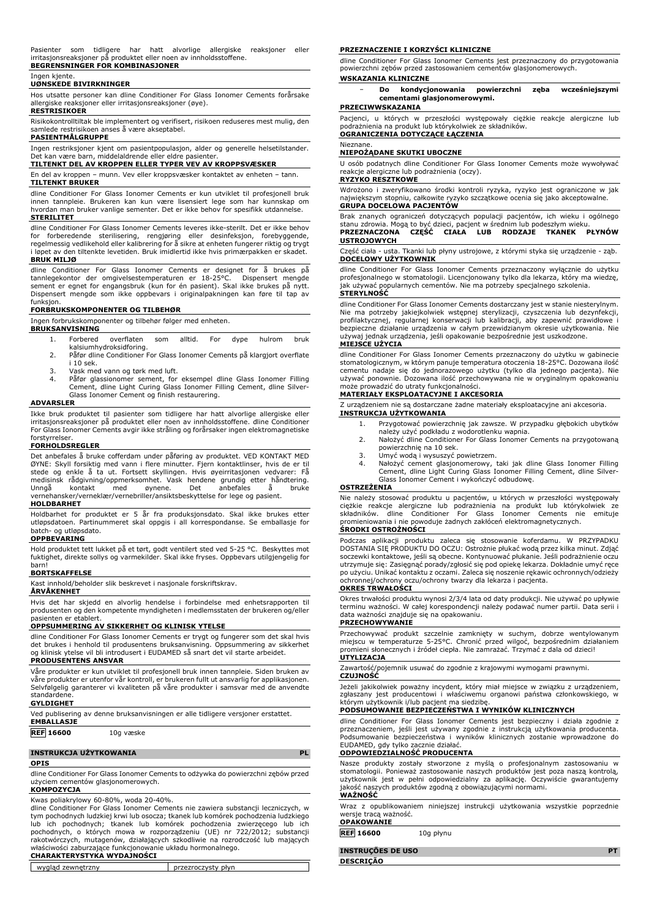#### Ingen kjente. **UØNSKEDE BIVIRKNINGER**

Hos utsatte personer kan dline Conditioner For Glass Ionomer Cements forårsake allergiske reaksjoner eller irritasjonsreaksjoner (øye).

#### **RESTRISIKOER**

Risikokontrolltiltak ble implementert og verifisert, risikoen reduseres mest mulig, den samlede restrisikoen anses å være akseptabel.

## **PASIENTMÅLGRUPPE**

Ingen restriksjoner kjent om pasientpopulasjon, alder og generelle helsetilstander. Det kan være barn, middelaldrende eller eldre pasienter.

#### **TILTENKT DEL AV KROPPEN ELLER TYPER VEV AV KROPPSVÆSKER**

En del av kroppen – munn. Vev eller kroppsvæsker kontaktet av enheten – tann. **TILTENKT BRUKER**

dline Conditioner For Glass Ionomer Cements er kun utviklet til profesjonell bruk innen tannpleie. Brukeren kan kun være lisensiert lege som har kunnskap om hvordan man bruker vanlige sementer. Det er ikke behov for spesifikk utdannelse.

#### **STERILITET**

dline Conditioner For Glass Ionomer Cements leveres ikke-sterilt. Det er ikke behov<br>for forberedende sterilisering, rengjøring eller desinfeksjon, forebyggende,<br>regelmessig vedlikehold eller kalibrering for å s i løpet av den tiltenkte levetiden. Bruk imidlertid ikke hvis primærpakken er skadet. **BRUK MILJØ**

dline Conditioner For Glass Ionomer Cements er designet for å brukes på tannlegekontor der omgivelsestemperaturen er 18-25°C. - Dispensert mengde<br>sement er egnet for engangsbruk (kun for én pasient). Skal ikke brukes på nytt.<br>Dispensert mengde som ikke oppbevars i originalpakningen kan føre ti funksjon.

#### **FORBRUKSKOMPONENTER OG TILBEHØR**

Ingen forbrukskomponenter og tilbehør følger med enheten.

#### **BRUKSANVISNING**

|  | Forbered overflaten som alltid. For dype hulrom bruk |  |  |  |
|--|------------------------------------------------------|--|--|--|
|  | kalsiumhydroksidforing.                              |  |  |  |

- kalsiumhydroksidforing. 2. Påfør dline Conditioner For Glass Ionomer Cements på klargjort overflate i 10 sek.
- 3. Vask med vann og tørk med luft.<br>4. Påfør glassionomer sement, for
- 4. Påfør glassionomer sement, for eksempel dline Glass Ionomer Filling Cement, dline Light Curing Glass Ionomer Filling Cement, dline Silver-Glass Ionomer Cement og finish restaurering.

### **ADVARSLER**

Ikke bruk produktet til pasienter som tidligere har hatt alvorlige allergiske eller irritasjonsreaksjoner på produktet eller noen av innholdsstoffene. dline Conditioner For Glass Ionomer Cements avgir ikke stråling og forårsaker ingen elektromagnetiske

# forstyrrelser. **FORHOLDSREGLER**

Det anbefales å bruke cofferdam under påføring av produktet. VED KONTAKT MED ØYNE: Skyll forsiktig med vann i flere minutter. Fjern kontaktlinser, hvis de er til<br>stede og enkle å ta ut. Fortsett skyllingen. Hvis øyeirritasjonen vedvarer: Få<br>medisinsk rådgivning/oppmerksomhet. Vask hendene gr Unngå kontakt med øynene. Det anbefales å bruke vernehansker/verneklær/vernebriller/ansiktsbeskyttelse for lege og pasient.

#### **HOLDBARHET**

Holdbarhet for produktet er 5 år fra produksjonsdato. Skal ikke brukes etter utløpsdatoen. Partinummeret skal oppgis i all korrespondanse. Se emballasje for batch- og utløpsdato.

## **OPPBEVARING**

Hold produktet tett lukket på et tørt, godt ventilert sted ved 5-25 °C. Beskyttes mot fuktighet, direkte sollys og varmekilder. Skal ikke fryses. Oppbevars utilgjengelig for barn!

#### **BORTSKAFFELSE**

Kast innhold/beholder slik beskrevet i nasjonale forskriftskrav.

#### **ÅRVÅKENHET**

Hvis det har skjedd en alvorlig hendelse i forbindelse med enhetsrapporten til produsenten og den kompetente myndigheten i medlemsstaten der brukeren og/eller pasienten er etablert.

### **OPPSUMMERING AV SIKKERHET OG KLINISK YTELSE**

dline Conditioner For Glass Ionomer Cements er trygt og fungerer som det skal hvis det brukes i henhold til produsentens bruksanvisning. Oppsummering av sikkerhet og klinisk ytelse vil bli introdusert i EUDAMED så snart det vil starte arbeidet. **PRODUSENTENS ANSVAR**

Våre produkter er kun utviklet til profesjonell bruk innen tannpleie. Siden bruken av våre produkter er utenfor vår kontroll, er brukeren fullt ut ansvarlig for applikasjonen. Selvfølgelig garanterer vi kvaliteten på våre produkter i samsvar med de anvendte standardene.

## **GYLDIGHET**

| <b>EMBALLASJE</b> | Ved publisering av denne bruksanvisningen er alle tidligere versjoner erstattet. |
|-------------------|----------------------------------------------------------------------------------|
| <b>REF 16600</b>  | 10g væske                                                                        |

## **INSTRUKCJA UŻYTKOWANIA PL**

### **OPIS**

dline Conditioner For Glass Ionomer Cements to odżywka do powierzchni zębów przed użyciem cementów glasjonomerowych. **KOMPOZYCJA**

## Kwas poliakrylowy 60-80%, woda 20-40%.

dline Conditioner For Glass Ionomer Cements nie zawiera substancji leczniczych, w tym pochodnych ludzkiej krwi lub osocza; tkanek lub komórek pochodzenia ludzkiego<br>lub ich pochodnych; tkanek lub komórek pochodzenia zwierzęcego lub ich<br>pochodnych, o których mowa w rozporządzeniu rakotwórczych, mutagenów, działających szkodliwie na rozrodczość lub mających właściwości zaburzające funkcjonowanie układu hormonalnego.

## **CHARAKTERYSTYKA WYDAJNOŚCI**

wygląd zewnętrzny przezroczysty płyn

#### **PRZEZNACZENIE I KORZYŚCI KLINICZNE**

dline Conditioner For Glass Ionomer Cements jest przeznaczony do przygotowania powierzchni zębów przed zastosowaniem cementów glasjonomerowych.

#### **WSKAZANIA KLINICZNE** − **Do kondycjonowania powierzchni zęba wcześniejszymi cementami glasjonomerowymi.**

### **PRZECIWWSKAZANIA**

Pacjenci, u których w przeszłości występowały ciężkie reakcje alergiczne lub podrażnienia na produkt lub którykolwiek ze składników. **OGRANICZENIA DOTYCZĄCE ŁĄCZENIA**

#### Nieznane.

#### **NIEPOŻĄDANE SKUTKI UBOCZNE**

U osób podatnych dline Conditioner For Glass Ionomer Cements może wywoływać reakcje alergiczne lub podrażnienia (oczy). **RYZYKO RESZTKOWE**

Wdrożono i zweryfikowano środki kontroli ryzyka, ryzyko jest ograniczone w jak największym stopniu, całkowite ryzyko szczątkowe ocenia się jako akceptowalne.

## **GRUPA DOCELOWA PACJENTÓW**

Brak znanych ograniczeń dotyczących populacji pacjentów, ich wieku i ogólnego stanu zdrowia. Mogą to być dzieci, pacjent w średnim lub podeszłym wieku. **PRZEZNACZONA CZĘŚĆ CIAŁA LUB RODZAJE TKANEK PŁYNÓW USTROJOWYCH**

Część ciała - usta. Tkanki lub płyny ustrojowe, z którymi styka się urządzenie - ząb. **DOCELOWY UŻYTKOWNIK**

dline Conditioner For Glass Ionomer Cements przeznaczony wyłącznie do użytku profesjonalnego w stomatologii. Licencjonowany tylko dla lekarza, który ma wiedzę, jak używać popularnych cementów. Nie ma potrzeby specjalnego szkolenia. **STERYLNOŚĆ**

## dline Conditioner For Glass Ionomer Cements dostarczany jest w stanie niesterylnym. Nie ma potrzeby jakiejkolwiek wstępnej sterylizacji, czyszczenia lub dezynfekcji, profilaktycznej, regularnej konserwacji lub kalibracji, aby zapewnić prawidłowe i bezpieczne działanie urządzenia w całym przewidzianym okresie użytkowania. Nie używaj jednak urządzenia, jeśli opakowanie bezpośrednie jest uszkodzone.

#### **MIEJSCE UŻYCIA**

dline Conditioner For Glass Ionomer Cements przeznaczony do użytku w gabinecie stomatologicznym, w którym panuje temperatura otoczenia 18-25°C. Dozowana ilość cementu nadaje się do jednorazowego użytku (tylko dla jednego pacjenta). Nie używać ponownie. Dozowana ilość przechowywana nie w oryginalnym opakowaniu może prowadzić do utraty funkcjonalności.

#### **MATERIAŁY EKSPLOATACYJNE I AKCESORIA**

Z urządzeniem nie są dostarczane żadne materiały eksploatacyjne ani akcesoria. **INSTRUKCJA UŻYTKOWANIA**

- 1. Przygotować powierzchnię jak zawsze. W przypadku głębokich ubytków należy użyć podkładu z wodorotlenku wapnia.
- 2. Nałożyć dline Conditioner For Glass Ionomer Cements na przygotowaną
- powierzchnię na 10 sek. 3. Umyć wodą i wysuszyć powietrzem.
- 4. Nałożyć cement glasjonomerowy, taki jak dline Glass Ionomer Filling Cement, dline Light Curing Glass Ionomer Filling Cement, dline Silver-Glass Ionomer Cement i wykończyć odbudowę.

#### **OSTRZEŻENIA**

Nie należy stosować produktu u pacjentów, u których w przeszłości występowały ciężkie reakcje alergiczne lub podrażnienia na produkt lub którykolwiek ze składników. dline Conditioner For Glass Ionomer Cements nie emituje promieniowania i nie powoduje żadnych zakłóceń elektromagnetycznych. **ŚRODKI OSTROŻNOŚCI**

Podczas aplikacji produktu zaleca się stosowanie koferdamu. W PRZYPADKU DOSTANIA SIĘ PRODUKTU DO OCZU: Ostrożnie płukać wodą przez kilka minut. Zdjąć soczewki kontaktowe, jeśli są obecne. Kontynuować płukanie. Jeśli podrażnienie oczu utrzymuje się: Zasięgnąć porady/zgłosić się pod opiekę lekarza. Dokładnie umyć ręce po użyciu. Unikać kontaktu z oczami. Zaleca się noszenie rękawic ochronnych/odzieży ochronnej/ochrony oczu/ochrony twarzy dla lekarza i pacjenta.

### **OKRES TRWAŁOŚCI**

Okres trwałości produktu wynosi 2/3/4 lata od daty produkcji. Nie używać po upływie terminu ważności. W całej korespondencji należy podawać numer partii. Data serii i data ważności znajduje się na opakowaniu.

#### **PRZECHOWYWANIE**

Przechowywać produkt szczelnie zamknięty w suchym, dobrze wentylowanym miejscu w temperaturze 5-25°C. Chronić przed wilgoć, bezpośrednim działaniem promieni słonecznych i źródeł ciepła. Nie zamrażać. Trzymać z dala od dzieci! **UTYLIZACJA**

Zawartość/pojemnik usuwać do zgodnie z krajowymi wymogami prawnymi. **CZUJNOŚĆ**

Jeżeli jakikolwiek poważny incydent, który miał miejsce w związku z urządzeniem, zgłaszany jest producentowi i właściwemu organowi państwa członkowskiego, w którym użytkownik i/lub pacjent ma siedzibę.

## **PODSUMOWANIE BEZPIECZEŃSTWA I WYNIKÓW KLINICZNYCH**

dline Conditioner For Glass Ionomer Cements jest bezpieczny i działa zgodnie z przeznaczeniem, jeśli jest używany zgodnie z instrukcją użytkowania producenta. Podsumowanie bezpieczeństwa i wyników klinicznych zostanie wprowadzone do EUDAMED, gdy tylko zacznie działać.

## **ODPOWIEDZIALNOŚĆ PRODUCENTA**

Nasze produkty zostały stworzone z myślą o profesjonalnym zastosowaniu w stomatologii. Ponieważ zastosowanie naszych produktów jest poza naszą kontrolą, użytkownik jest w pełni odpowiedzialny za aplikację. Oczywiście gwarantujemy jakość naszych produktów zgodną z obowiązującymi normami. **WAŻNOŚĆ**

Wraz z opublikowaniem niniejszej instrukcji użytkowania wszystkie poprzednie wersje tracą ważność.

**OPAKOWANIE REF 16600** 10g płynu

**INSTRUÇÕES DE USO** 

**DESCRIÇÃO**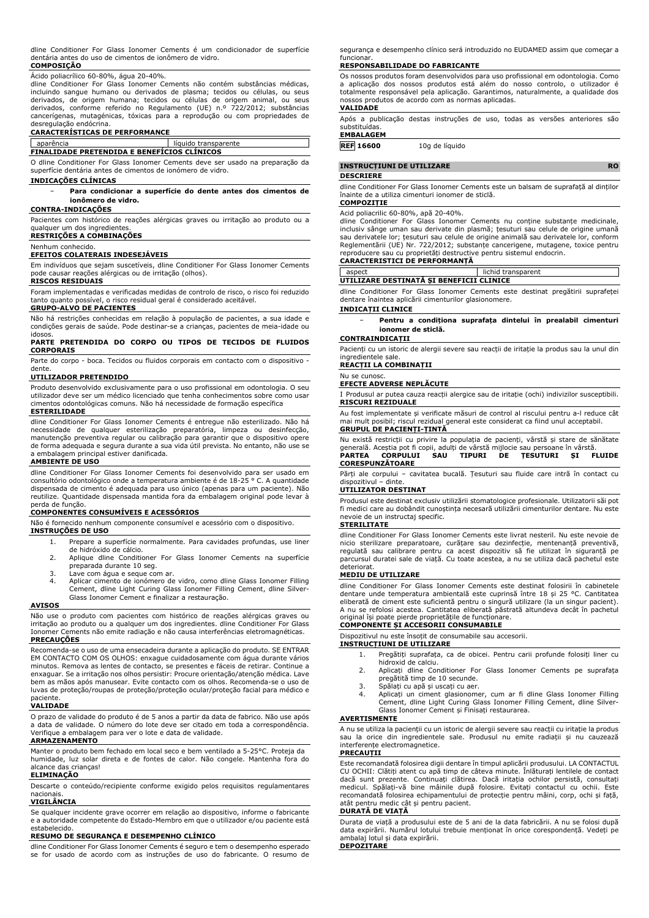dline Conditioner For Glass Ionomer Cements é um condicionador de superfície dentária antes do uso de cimentos de ionômero de vidro.

## **COMPOSIÇÃO**

Ácido poliacrílico 60-80%, água 20-40%. dline Conditioner For Glass Ionomer Cements não contém substâncias médicas, incluindo sangue humano ou derivados de plasma; tecidos ou células, ou seus derivados, de origem humana; tecidos ou células de origem animal, ou seus derivados, conforme referido no Regulamento (UE) n.º 722/2012; substâncias cancerígenas, mutagénicas, tóxicas para a reprodução ou com propriedades de

# desregulação endócrina. **CARACTERÍSTICAS DE PERFORMANCE**

| CARACTERISTICAS DE FERTORMANCE |                      |  |  |  |
|--------------------------------|----------------------|--|--|--|
|                                |                      |  |  |  |
| $nonr\hat{a}noi\hat{b}$        | Líquido trancparonto |  |  |  |

| i dudielicid                                       | iluuluv trahsbarente |
|----------------------------------------------------|----------------------|
| <b>FINALIDADE PRETENDIDA E BENEFICIOS CLINICOS</b> |                      |

O dline Conditioner For Glass Ionomer Cements deve ser usado na preparação da superfície dentária antes de cimentos de ionómero de vidro.

#### **INDICAÇÕES CLÍNICAS**

− **Para condicionar a superfície do dente antes dos cimentos de ionômero de vidro.**

#### **CONTRA-INDICAÇÕES**

Pacientes com histórico de reações alérgicas graves ou irritação ao produto ou a qualquer um dos ingredientes.

#### **RESTRIÇÕES A COMBINAÇÕES** Nenhum conhecido.

## **EFEITOS COLATERAIS INDESEJÁVEIS**

Em indivíduos que sejam suscetíveis, dline Conditioner For Glass Ionomer Cements pode causar reações alérgicas ou de irritação (olhos).

### **RISCOS RESIDUAIS**

Foram implementadas e verificadas medidas de controlo de risco, o risco foi reduzido tanto quanto possível, o risco residual geral é considerado aceitável.

#### **GRUPO-ALVO DE PACIENTES**

Não há restrições conhecidas em relação à população de pacientes, a sua idade e condições gerais de saúde. Pode destinar-se a crianças, pacientes de meia-idade ou idosos.

#### **PARTE PRETENDIDA DO CORPO OU TIPOS DE TECIDOS DE FLUIDOS CORPORAIS**

Parte do corpo - boca. Tecidos ou fluidos corporais em contacto com o dispositivo dente.

## **UTILIZADOR PRETENDIDO**

Produto desenvolvido exclusivamente para o uso profissional em odontologia. O seu utilizador deve ser um médico licenciado que tenha conhecimentos sobre como usar odontológicas comuns. Não há necessidade de formação específica **ESTERILIDADE**

dline Conditioner For Glass Ionomer Cements é entregue não esterilizado. Não há necessidade de qualquer esterilização preparatória, limpeza ou desinfecção, manutenção preventiva regular ou calibração para garantir que o dispositivo opere de forma adequada e segura durante a sua vida útil prevista. No entanto, não use se a embalagem principal estiver danificada.

#### **AMBIENTE DE USO**

dline Conditioner For Glass Ionomer Cements foi desenvolvido para ser usado em consultório odontológico onde a temperatura ambiente é de 18-25 ° C. A quantidade dispensada de cimento é adequada para uso único (apenas para um paciente). Não reutilize. Quantidade dispensada mantida fora da embalagem original pode levar à perda de função.

#### **COMPONENTES CONSUMÍVEIS E ACESSÓRIOS**

Não é fornecido nenhum componente consumível e acessório com o dispositivo. **INSTRUÇÕES DE USO**

- 1. Prepare a superfície normalmente. Para cavidades profundas, use liner de hidróxido de cálcio.
- 2. Aplique dline Conditioner For Glass Ionomer Cements na superfície preparada durante 10 seg.
- 
- 3. Lave com água e seque com ar. 4. Aplicar cimento de ionómero de vidro, como dline Glass Ionomer Filling Cement, dline Light Curing Glass Ionomer Filling Cement, dline Silver-Glass Ionomer Cement e finalizar a restauração.

#### **AVISOS**

Não use o produto com pacientes com histórico de reações alérgicas graves ou irritação ao produto ou a qualquer um dos ingredientes. dline Conditioner For Glass Ionomer Cements não emite radiação e não causa interferências eletromagnéticas. **PRECAUÇÕES**

Recomenda-se o uso de uma ensecadeira durante a aplicação do produto. SE ENTRAR EM CONTACTO COM OS OLHOS: enxague cuidadosamente com água durante vários minutos. Remova as lentes de contacto, se presentes e fáceis de retirar. Continue a enxaguar. Se a irritação nos olhos persistir: Procure orientação/atenção médica. Lave bem as mãos após manusear. Evite contacto com os olhos. Recomenda-se o uso de luvas de proteção/roupas de proteção/proteção ocular/proteção facial para médico e paciente.

## **VALIDADE**

O prazo de validade do produto é de 5 anos a partir da data de fabrico. Não use após a data de validade. O número do lote deve ser citado em toda a correspondência. Verifique a embalagem para ver o lote e data de validade.

## **ARMAZENAMENTO**

Manter o produto bem fechado em local seco e bem ventilado a 5-25°C. Proteja da humidade, luz solar direta e de fontes de calor. Não congele. Mantenha fora do alcance das crianças!

## **ELIMINAÇÃO**

Descarte o conteúdo/recipiente conforme exigido pelos requisitos regulamentares nacionais.

#### **VIGILÂNCIA**

Se qualquer incidente grave ocorrer em relação ao dispositivo, informe o fabricante e a autoridade competente do Estado-Membro em que o utilizador e/ou paciente está estabelecido.

## **RESUMO DE SEGURANÇA E DESEMPENHO CLÍNICO**

dline Conditioner For Glass Ionomer Cements é seguro e tem o desempenho esperado se for usado de acordo com as instruções de uso do fabricante. O resumo de segurança e desempenho clínico será introduzido no EUDAMED assim que começar a

# funcionar. **RESPONSABILIDADE DO FABRICANTE**

Os nossos produtos foram desenvolvidos para uso profissional em odontologia. Como a aplicação dos nossos produtos está além do nosso controlo, o utilizador é totalmente responsável pela aplicação. Garantimos, naturalmente, a qualidade dos nossos produtos de acordo com as normas aplicadas.

#### **VALIDADE**

Após a publicação destas instruções de uso, todas as versões anteriores são substituídas.

**EMBALAGEM REF 16600** 10g de líquido

#### **INSTRUCȚIUNI DE UTILIZARE RO**

**DESCRIERE**

dline Conditioner For Glass Ionomer Cements este un balsam de suprafață al dinților înainte de a utiliza cimenturi ionomer de sticlă. **COMPOZIȚIE**

## Acid poliacrilic 60-80%, apă 20-40%.

dline Conditioner For Glass Ionomer Cements nu conține substanțe medicinale, inclusiv sânge uman sau derivate din plasmă; țesuturi sau celule de origine umană sau derivatele lor; țesuturi sau celule de origine animală sau derivatele lor, conform Reglementării (UE) Nr. 722/2012; substanțe cancerigene, mutagene, toxice pentru reproducere sau cu proprietăți destructive pentru sistemul endocrin.

#### **CARACTERISTICI DE PERFORMANȚĂ**

| aspect                                   | lichid transparent |
|------------------------------------------|--------------------|
| UTILIZARE DESTINATĂ SI BENEFICII CLINICE |                    |
|                                          |                    |

dline Conditioner For Glass Ionomer Cements este destinat pregătirii suprafeței dentare înaintea aplicării cimenturilor glasionomere.

## **INDICAȚII CLINICE**

− **Pentru a condiționa suprafața dintelui în prealabil cimenturi ionomer de sticlă.**

#### **CONTRAINDICAȚII**

Pacienți cu un istoric de alergii severe sau reacții de iritație la produs sau la unul din ingredientele sale.

## **REACȚII LA COMBINAȚII**

#### Nu se cunosc. **EFECTE ADVERSE NEPLĂCUTE**

I Produsul ar putea cauza reacții alergice sau de iritație (ochi) indivizilor susceptibili. **RISCURI REZIDUALE**

Au fost implementate și verificate măsuri de control al riscului pentru a-l reduce cât mai mult posibil; riscul rezidual general este considerat ca fiind unul acceptabil. **GRUPUL DE PACIENȚI-ȚINTĂ**

Nu există restricții cu privire la populația de pacienți, vârstă și stare de sănătate generală. Aceștia pot fi copii, adulți de vârstă mijlocie sau persoane în vârstă. **PARTEA CORPULUI SAU TIPURI DE ȚESUTURI ȘI FLUIDE CORESPUNZĂTOARE**

Părți ale corpului – cavitatea bucală. Țesuturi sau fluide care intră în contact cu dispozitivul – dinte.

#### **UTILIZATOR DESTINAT**

Produsul este destinat exclusiv utilizării stomatologice profesionale. Utilizatorii săi pot fi medici care au dobândit cunoștința necesară utilizării cimenturilor dentare. Nu este nevoie de un instructaj specific.

#### **STERILITATE**

dline Conditioner For Glass Ionomer Cements este livrat nesteril. Nu este nevoie de nicio sterilizare preparatoare, curățare sau dezinfecție, mentenanță preventivă, regulată sau calibrare pentru ca acest dispozitiv să fie utilizat în siguranță pe parcursul duratei sale de viață. Cu toate acestea, a nu se utiliza dacă pachetul este deteriorat.

#### **MEDIU DE UTILIZARE**

dline Conditioner For Glass Ionomer Cements este destinat folosirii în cabinetele dentare unde temperatura ambientală este cuprinsă între 18 și 25 °C. Cantitatea eliberată de ciment este suficientă pentru o singură utilizare (la un singur pacient). A nu se refolosi acestea. Cantitatea eliberată păstrată altundeva decât în pachetul original își poate pierde proprietățile de funcționare. **COMPONENTE ȘI ACCESORII CONSUMABILE**

Dispozitivul nu este însoțit de consumabile sau accesorii.

#### **INSTRUCȚIUNI DE UTILIZARE**

- 1. Pregătiți suprafața, ca de obicei. Pentru carii profunde folosiți liner cu hidroxid de calciu. 2. Aplicați dline Conditioner For Glass Ionomer Cements pe suprafața
- pregătită timp de 10 secunde.
- 3. Spălați cu apă și uscați cu aer.<br>4. Aplicati un ciment glasionome
- 4. Aplicați un ciment glasionomer, cum ar fi dline Glass Ionomer Filling Cement, dline Light Curing Glass Ionomer Filling Cement, dline Silver-Glass Ionomer Cement și Finisați restaurarea.

## **AVERTISMENTE**

A nu se utiliza la pacienții cu un istoric de alergii severe sau reacții cu iritație la produs sau la orice din ingredientele sale. Produsul nu emite radiații și nu cauzează interferențe electromagnetice.

## **PRECAUȚII**

Este recomandată folosirea digii dentare în timpul aplicării produsului. LA CONTACTUL CU OCHII: Clătiți atent cu apă timp de câteva minute. Înlăturați lentilele de contact dacă sunt prezente. Continuați clătirea. Dacă iritația ochilor persistă, consultați medicul. Spălați-vă bine mâinile după folosire. Evitați contactul cu ochii. Este recomandată folosirea echipamentului de protecție pentru mâini, corp, ochi și față, atât pentru medic cât și pentru pacient.

### **DURATĂ DE VIAȚĂ**

Durata de viață a produsului este de 5 ani de la data fabricării. A nu se folosi după data expirării. Numărul lotului trebuie menționat în orice corespondență. Vedeți pe ambalaj lotul și data expirării.

#### **DEPOZITARE**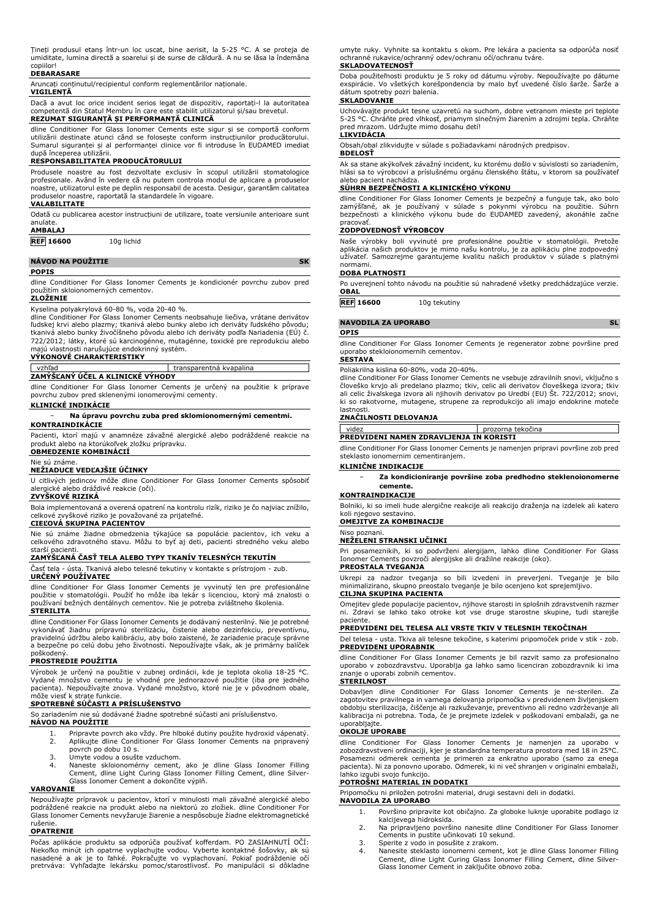|           | Tineți produsul etanș într-un loc uscat, bine aerisit, la 5-25 °C. A se proteja de    |  |  |  |  |  |  |
|-----------|---------------------------------------------------------------------------------------|--|--|--|--|--|--|
|           | umiditate, lumina directă a soarelui și de surse de căldură. A nu se lăsa la îndemâna |  |  |  |  |  |  |
| coniilorl |                                                                                       |  |  |  |  |  |  |

# copiilor! **DEBARASARE**

Aruncați conținutul/recipientul conform reglementărilor naționale.

#### **VIGILENȚĂ**

Dacă a avut loc orice incident serios legat de dispozitiv, raportați-l la autoritatea competentă din Statul Membru în care este stabilit utilizatorul și/sau brevetul.

# **REZUMAT SIGURANȚĂ ȘI PERFORMANȚĂ CLINICĂ**

dline Conditioner For Glass Ionomer Cements este sigur și se comportă conform utilizării destinate atunci când se folosește conform instrucțiunilor producătorului. Sumarul siguranței și al performanței clinice vor fi introduse în EUDAMED imediat după începerea utilizării.

## **RESPONSABILITATEA PRODUCĂTORULUI**

Produsele noastre au fost dezvoltate exclusiv în scopul utilizării stomatologice profesionale. Având în vedere că nu putem controla modul de aplicare a produselor noastre, utilizatorul este pe deplin responsabil de acesta. Desigur, garantăm calitatea produselor noastre, raportată la standardele în vigoare.

#### **VALABILITATE**

Odată cu publicarea acestor instrucțiuni de utilizare, toate versiunile anterioare sunt anulate.

## **AMBALAJ**

**REF 16600** 10g lichid

#### **NÁVOD NA POUŽITIE SK**

#### **POPIS**

dline Conditioner For Glass Ionomer Cements je kondicionér povrchu zubov pred použitím skloionomerných cementov. **ZLOŽENIE**

Kyselina polyakrylová 60-80 %, voda 20-40 %.

dline Conditioner For Glass Ionomer Cements neobsahuje liečiva, vrátane derivátov ľudskej krvi alebo plazmy; tkanivá alebo bunky alebo ich deriváty ľudského pôvodu; tkanivá alebo bunky živočíšneho pôvodu alebo ich deriváty podľa Nariadenia (EÚ) č. 722/2012; látky, ktoré sú karcinogénne, mutagénne, toxické pre reprodukciu alebo majú vlastnosti narušujúce endokrinný systém.

## **VÝKONOVÉ CHARAKTERISTIKY**

| vzhľac<br>transparentná kvapalina |  |  |  |
|-----------------------------------|--|--|--|
| ZAMÝŠĽANÝ ÚČEL A KLINICKÉ VÝHODY  |  |  |  |

dline Conditioner For Glass Ionomer Cements je určený na použitie k príprave povrchu zubov pred sklenenými ionomerovými cementy.

## **KLINICKÉ INDIKÁCIE**

− **Na úpravu povrchu zuba pred sklomionomernými cementmi.**

# **KONTRAINDIKÁCIE**

Pacienti, ktorí majú v anamnéze závažné alergické alebo podráždené reakcie na produkt alebo na ktorúkoľvek zložku prípravku. **OBMEDZENIE KOMBINÁCIÍ**

## Nie sú známe.

## **NEŽIADUCE VEDĽAJŠIE ÚČINKY**

U citlivých jedincov môže dline Conditioner For Glass Ionomer Cements spôsobiť alergické alebo dráždivé reakcie (oči).

#### **ZVYŠKOVÉ RIZIKÁ**

Bola implementovaná a overená opatrení na kontrolu rizík, riziko je čo najviac znížilo, celkové zvyškové riziko je považované za prijateľné. **CIEĽOVÁ SKUPINA PACIENTOV**

Nie sú známe žiadne obmedzenia týkajúce sa populácie pacientov, ich veku a celkového zdravotného stavu. Môžu to byť aj deti, pacienti stredného veku alebo starší pacienti.

### **ZAMÝŠĽANÁ ČASŤ TELA ALEBO TYPY TKANÍV TELESNÝCH TEKUTÍN**

Časť tela - ústa. Tkanivá alebo telesné tekutiny v kontakte s prístrojom - zub. **URČENÝ POUŽÍVATEĽ**

dline Conditioner For Glass Ionomer Cements je vyvinutý len pre profesionálne použitie v stomatológii. Použiť ho môže iba lekár s licenciou, ktorý má znalosti o používaní bežných dentálnych cementov. Nie je potreba zvláštneho školenia.

#### **STERILITA**

dline Conditioner For Glass Ionomer Cements je dodávaný nesterilný. Nie je potrebné vykonávať žiadnu prípravnú sterilizáciu, čistenie alebo dezinfekciu, preventívnu, pravidelnú údržbu alebo kalibráciu, aby bolo zaistené, že zariadenie pracuje správne a bezpečne po celú dobu jeho životnosti. Nepoužívajte však, ak je primárny balíček poškodený.

### **PROSTREDIE POUŽITIA**

Výrobok je určený na použitie v zubnej ordinácii, kde je teplota okolia 18-25 °C. Vydané množstvo cementu je vhodné pre jednorazové použitie (iba pre jedného pacienta). Nepoužívajte znova. Vydané množstvo, ktoré nie je v pôvodnom obale, môže viesť k strate funkcie.

## **SPOTREBNÉ SÚČASTI A PRÍSLUŠENSTVO**

So zariadením nie sú dodávané žiadne spotrebné súčasti ani príslušenstvo.

## **NÁVOD NA POUŽITIE**

- 1. Pripravte povrch ako vždy. Pre hlboké dutiny použite hydroxid vápenatý. 2. Aplikujte dline Conditioner For Glass Ionomer Cements na pripravený
- 
- povrch po dobu 10 s. 3. Umyte vodou a osušte vzduchom. 4. Naneste skloionomérny cement, ako je dline Glass Ionomer Filling Cement, dline Light Curing Glass Ionomer Filling Cement, dline Silver-Glass Ionomer Cement a dokončite výplň.

## **VAROVANIE**

Nepoužívajte prípravok u pacientov, ktorí v minulosti mali závažné alergické alebo podráždené reakcie na produkt alebo na niektorú zo zložiek. dline Conditioner For Glass Ionomer Cements nevyžaruje žiarenie a nespôsobuje žiadne elektromagnetické rušenie.

### **OPATRENIE**

Počas aplikácie produktu sa odporúča používať kofferdam. PO ZASIAHNUTÍ OČÍ: Niekoľko minút ich opatrne vyplachujte vodou. Vyberte kontaktné šošovky, ak sú nasadené a ak je to ľahké. Pokračujte vo vyplachovaní. Pokiaľ podráždenie očí pretrváva: Vyhľadajte lekársku pomoc/starostlivosť. Po manipulácii si dôkladne

umyte ruky. Vyhnite sa kontaktu s okom. Pre lekára a pacienta sa odporúča nosiť ochranné rukavice/ochranný odev/ochranu očí/ochranu tváre. **SKLADOVATEĽNOSŤ**

Doba použiteľnosti produktu je 5 roky od dátumu výroby. Nepoužívajte po dátume exspirácie. Vo všetkých korešpondencia by malo byť uvedené číslo šarže. Šarže a dátum spotreby pozri balenia.

#### **SKLADOVANIE**

Uchovávajte produkt tesne uzavretú na suchom, dobre vetranom mieste pri teplote 5-25 °C. Chráňte pred vlhkosť, priamym slnečným žiarením a zdrojmi tepla. Chráňte pred mrazom. Udržujte mimo dosahu detí!

## **LIKVIDÁCIA**

Obsah/obal zlikvidujte v súlade s požiadavkami národných predpisov.

## **BDELOSŤ**

Ak sa stane akýkoľvek závažný incident, ku ktorému došlo v súvislosti so zariadením, hlási sa to výrobcovi a príslušnému orgánu členského štátu, v ktorom sa používateľ alebo pacient nachádza.

#### **SÚHRN BEZPEČNOSTI A KLINICKÉHO VÝKONU**

dline Conditioner For Glass Ionomer Cements je bezpečný a funguje tak, ako bolo zamýšľané, ak je používaný v súlade s pokynmi výrobcu na použitie. Súhrn bezpečnosti a klinického výkonu bude do EUDAMED zavedený, akonáhle začne pracovať.

## **ZODPOVEDNOSŤ VÝROBCOV**

Naše výrobky boli vyvinuté pre profesionálne použitie v stomatológii. Pretože aplikácia našich produktov je mimo našu kontrolu, je za aplikáciu plne zodpovedný užívateľ. Samozrejme garantujeme kvalitu našich produktov v súlade s platnými normami.

#### **DOBA PLATNOSTI**

Po uverejnení tohto návodu na použitie sú nahradené všetky predchádzajúce verzie. **OBAL**

## **REF 16600** 10g tekutiny

## **NAVODILA ZA UPORABO SL**

**OPIS**

dline Conditioner For Glass Ionomer Cements je regenerator zobne površine pred uporabo stekloionomernih cementov.

## **SESTAVA**

Poliakrilna kislina 60-80%, voda 20-40%.

dline Conditioner For Glass Ionomer Cements ne vsebuje zdravilnih snovi, vključno s človeško krvjo ali predelano plazmo; tkiv, celic ali derivatov človeškega izvora; tkiv ali celic živalskega izvora ali njihovih derivatov po Uredbi (EU) Št. 722/2012; snovi, ki so rakotvorne, mutagene, strupene za reprodukcijo ali imajo endokrine moteče

# lastnosti. **ZNAČILNOSTI DELOVANJA**

| videz                                                                              | prozorna tekočina |  |
|------------------------------------------------------------------------------------|-------------------|--|
| PREDVIDENI NAMEN ZDRAVLJENJA IN KORISTI                                            |                   |  |
| dline Conditioner For Glass Ionomer Cements je namenjen pripravi površine zob pred |                   |  |

steklasto ionomernim cementiranjem.

## **KLINIČNE INDIKACIJE**

− **Za kondicioniranje površine zoba predhodno steklenoionomerne cemente.**

## **KONTRAINDIKACIJE**

Bolniki, ki so imeli hude alergične reakcije ali reakcijo draženja na izdelek ali katero koli njegovo sestavino.

#### **OMEJITVE ZA KOMBINACIJE**

Niso poznani. **NEŽELENI STRANSKI UČINKI**

Pri posameznikih, ki so podvrženi alergijam, lahko dline Conditioner For Glass Ionomer Cements povzroči alergijske ali dražilne reakcije (oko).

## **PREOSTALA TVEGANJA**

Ukrepi za nadzor tveganja so bili izvedeni in preverjeni. Tveganje je bilo minimalizirano, skupno preostalo tveganje je bilo ocenjeno kot sprejemljivo. **CILJNA SKUPINA PACIENTA**

Omejitev glede populacije pacientov, njihove starosti in splošnih zdravstvenih razmer ni. Zdravi se lahko tako otroke kot vse druge starostne skupine, tudi starejše

# paciente. **PREDVIDENI DEL TELESA ALI VRSTE TKIV V TELESNIH TEKOČINAH**

Del telesa - usta. Tkiva ali telesne tekočine, s katerimi pripomoček pride v stik - zob. **PREDVIDENI UPORABNIK**

dline Conditioner For Glass Ionomer Cements je bil razvit samo za profesionalno uporabo v zobozdravstvu. Uporablja ga lahko samo licenciran zobozdravnik ki ima znanje o uporabi zobnih cementov.

#### **STERILNOST**

Dobavljen dline Conditioner For Glass Ionomer Cements je ne-sterilen. Za zagotovitev pravilnega in varnega delovanja pripomočka v predvidenem življenjskem obdobju sterilizacija, čiščenje ali razkuževanje, preventivno ali redno vzdrževanje ali kalibracija ni potrebna. Toda, če je prejmete izdelek v poškodovani embalaži, ga ne uporabljajte.

## **OKOLJE UPORABE**

dline Conditioner For Glass Ionomer Cements je namenjen za uporabo v zobozdravstveni ordinaciji, kjer je standardna temperatura prostora med 18 in 25°C. Posamezni odmerek cementa je primeren za enkratno uporabo (samo za enega pacienta). Ni za ponovno uporabo. Odmerek, ki ni več shranjen v originalni embalaži, lahko izgubi svojo funkcijo.

#### **POTROŠNI MATERIAL IN DODATKI**

Pripomočku ni priložen potrošni material, drugi sestavni deli in dodatki.

- **NAVODILA ZA UPORABO** 1. Površino pripravite kot običajno. Za globoke luknje uporabite podlago iz
	- kalcijevega hidroksida. 2. Na pripravljeno površino nanesite dline Conditioner For Glass Ionomer Cements in pustite učinkovati 10 sekund.
	-
	- 3. Sperite z vodo in posušite z zrakom. 4. Nanesite steklasto ionomerni cement, kot je dline Glass Ionomer Filling Cement, dline Light Curing Glass Ionomer Filling Cement, dline Silver-Glass Ionomer Cement in zaključite obnovo zoba.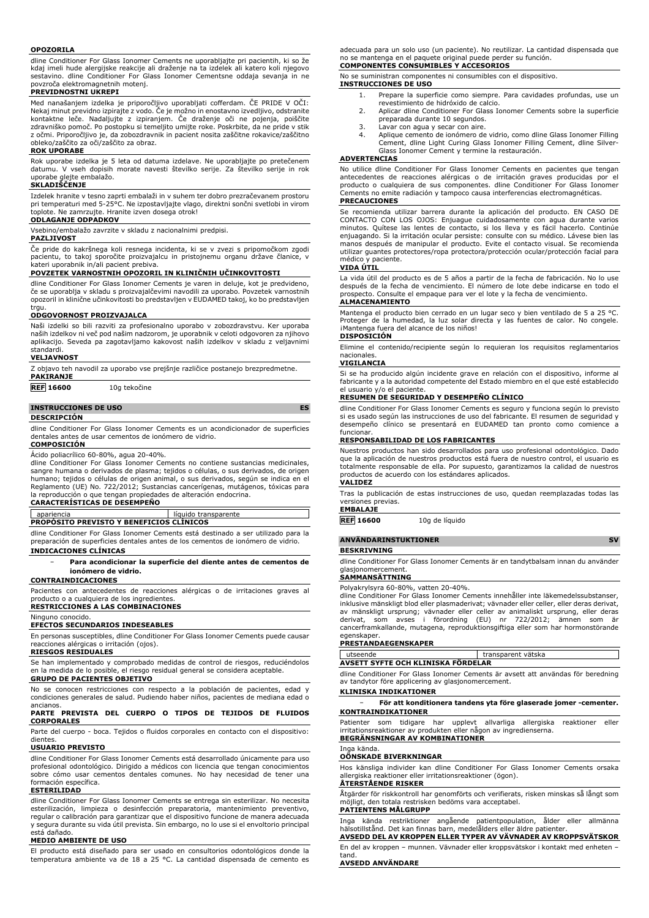#### **OPOZORILA**

dline Conditioner For Glass Ionomer Cements ne uporabljajte pri pacientih, ki so že kdaj imeli hude alergijske reakcije ali draženje na ta izdelek ali katero koli njegovo sestavino. dline Conditioner For Glass Ionomer Cementsne oddaja sevanja in ne povzroča elektromagnetnih motenj.

## **PREVIDNOSTNI UKREPI**

Med nanašanjem izdelka je priporočljivo uporabljati cofferdam. ČE PRIDE V OČI: Nekaj minut previdno izpirajte z vodo. Če je možno in enostavno izvedljivo, odstranite kontaktne leče. Nadaljujte z izpiranjem. Če draženje oči ne pojenja, poiščite zdravniško pomoč. Po postopku si temeljito umijte roke. Poskrbite, da ne pride v stik z očmi. Priporočljivo je, da zobozdravnik in pacient nosita zaščitne rokavice/zaščitno obleko/zaščito za oči/zaščito za obraz. **ROK UPORABE**

Rok uporabe izdelka je 5 leta od datuma izdelave. Ne uporabljajte po pretečenem datumu. V vseh dopisih morate navesti številko serije. Za številko serije in rok uporabe glejte embalažo.

### **SKLADIŠČENJE**

Izdelek hranite v tesno zaprti embalaži in v suhem ter dobro prezračevanem prostoru pri temperaturi med 5-25°C. Ne izpostavljajte vlago, direktni sončni svetlobi in virom toplote. Ne zamrzujte. Hranite izven dosega otrok!

## **ODLAGANJE ODPADKOV**

Vsebino/embalažo zavrzite v skladu z nacionalnimi predpisi.

## **PAZLJIVOST**

Če pride do kakršnega koli resnega incidenta, ki se v zvezi s pripomočkom zgodi pacientu, to takoj sporočite proizvajalcu in pristojnemu organu države članice, v kateri uporabnik in/ali pacient prebiva.

## **POVZETEK VARNOSTNIH OPOZORIL IN KLINIČNIH UČINKOVITOSTI**

dline Conditioner For Glass Ionomer Cements je varen in deluje, kot je predvideno, če se uporablja v skladu s proizvajalčevimi navodili za uporabo. Povzetek varnostnih opozoril in klinične učinkovitosti bo predstavljen v EUDAMED takoj, ko bo predstavljen trau.

### **ODGOVORNOST PROIZVAJALCA**

Naši izdelki so bili razviti za profesionalno uporabo v zobozdravstvu. Ker uporaba naših izdelkov ni več pod našim nadzorom, je uporabnik v celoti odgovoren za njihovo aplikacijo. Seveda pa zagotavljamo kakovost naših izdelkov v skladu z veljavnimi standardi.

#### **VELJAVNOST**

Z objavo teh navodil za uporabo vse prejšnje različice postanejo brezpredmetne. **PAKIRANJE**

**REF 16600** 10g tekočine

#### **INSTRUCCIONES DE USO ES**

**DESCRIPCIÓN**

dline Conditioner For Glass Ionomer Cements es un acondicionador de superficies dentales antes de usar cementos de ionómero de vidrio.

#### **COMPOSICIÓN**

Acido poliacrilico 60-80%, agua 20-40%.<br>dline Conditioner For Glass Ionomer Cements no contiene sustancias medicinales, sangre humana o derivados de plasma; tejidos o células, o sus derivados, de origen humano; tejidos o células de origen animal, o sus derivados, según se indica en el Reglamento (UE) No. 722/2012; Sustancias cancerígenas, mutágenos, tóxicas para la reproducción o que tengan propiedades de alteración endocrina.

## **CARACTERÍSTICAS DE DESEMPEÑO**

#### apariencia apariencia de líquido transparente **PROPÓSITO PREVISTO Y BENEFICIOS CLÍNICOS**

dline Conditioner For Glass Ionomer Cements está destinado a ser utilizado para la preparación de superficies dentales antes de los cementos de ionómero de vidrio.

#### **INDICACIONES CLÍNICAS**

− **Para acondicionar la superficie del diente antes de cementos de ionómero de vidrio.**

#### **CONTRAINDICACIONES**

Pacientes con antecedentes de reacciones alérgicas o de irritaciones graves al producto o a cualquiera de los ingredientes. **RESTRICCIONES A LAS COMBINACIONES**

Ninguno conocido. **EFECTOS SECUNDARIOS INDESEABLES**

# En personas susceptibles, dline Conditioner For Glass Ionomer Cements puede causar

reacciones alérgicas o irritación (ojos).

## **RIESGOS RESIDUALES**

Se han implementado y comprobado medidas de control de riesgos, reduciéndolos en la medida de lo posible, el riesgo residual general se considera aceptable. **GRUPO DE PACIENTES OBJETIVO**

No se conocen restricciones con respecto a la población de pacientes, edad y condiciones generales de salud. Pudiendo haber niños, pacientes de mediana edad o ancianos.

## **PARTE PREVISTA DEL CUERPO O TIPOS DE TEJIDOS DE FLUIDOS CORPORALES**

Parte del cuerpo - boca. Tejidos o fluidos corporales en contacto con el dispositivo: diente<sup>®</sup>

## **USUARIO PREVISTO**

dline Conditioner For Glass Ionomer Cements está desarrollado únicamente para uso profesional odontológico. Dirigido a médicos con licencia que tengan conocimientos sobre cómo usar cementos dentales comunes. No hay necesidad de tener una formación específica.

### **ESTERILIDAD**

dline Conditioner For Glass Ionomer Cements se entrega sin esterilizar. No necesita<br>esterliización, limpieza o desinfección preparatoria, mantenimiento preventivo,<br>regular o calibración para garantizar que el disposi y segura durante su vida útil prevista. Sin embargo, no lo use si el envoltorio principal sara aa.<br>dañado

## **MEDIO AMBIENTE DE USO**

El producto está diseñado para ser usado en consultorios odontológicos donde la temperatura ambiente va de 18 a 25 °C. La cantidad dispensada de cemento es adecuada para un solo uso (un paciente). No reutilizar. La cantidad dispensada que no se mantenga en el paquete original puede perder su función. **COMPONENTES CONSUMIBLES Y ACCESORIOS**

### No se suministran componentes ni consumibles con el dispositivo.

**INSTRUCCIONES DE USO**

- 1. Prepare la superficie como siempre. Para cavidades profundas, use un revestimiento de hidróxido de calcio.
- 2. Aplicar dline Conditioner For Glass Ionomer Cements sobre la superficie preparada durante 10 segundos.
- 3. Lavar con agua y secar con aire.<br>4. Aplique cemento de ionómero de
- Aplique cemento de ionómero de vidrio, como dline Glass Ionomer Filling Cement, dline Light Curing Glass Ionomer Filling Cement, dline Silver-Glass Ionomer Cement y termine la restauración.

#### **ADVERTENCIAS**

No utilice dline Conditioner For Glass Ionomer Cements en pacientes que tengan antecedentes de reacciones alérgicas o de irritación graves producidas por el producto o cualquiera de sus componentes. dline Conditioner For Glass Ionomer Cements no emite radiación y tampoco causa interferencias electromagnéticas. **PRECAUCIONES**

Se recomienda utilizar barrera durante la aplicación del producto. EN CASO DE CONTACTO CON LOS OJOS: Enjuague cuidadosamente con agua durante varios minutos. Quítese las lentes de contacto, si los lleva y es fácil hacerlo. Continúe enjuagando. Si la irritación ocular persiste: consulte con su médico. Lávese bien las manos después de manipular el producto. Evite el contacto visual. Se recomienda utilizar guantes protectores/ropa protectora/protección ocular/protección facial para médico y paciente.

#### **VIDA ÚTIL**

La vida útil del producto es de 5 años a partir de la fecha de fabricación. No lo use después de la fecha de vencimiento. El número de lote debe indicarse en todo el prospecto. Consulte el empaque para ver el lote y la fecha de vencimiento.

#### **ALMACENAMIENTO**

Mantenga el producto bien cerrado en un lugar seco y bien ventilado de 5 a 25 °C. Proteger de la humedad, la luz solar directa y las fuentes de calor. No congele. ¡Mantenga fuera del alcance de los niños!

## **DISPOSICIÓN**

Elimine el contenido/recipiente según lo requieran los requisitos reglamentarios nacionales. **VIGILANCIA**

Si se ha producido algún incidente grave en relación con el dispositivo, informe al fabricante y a la autoridad competente del Estado miembro en el que esté establecido el usuario y/o el paciente.

#### **RESUMEN DE SEGURIDAD Y DESEMPEÑO CLÍNICO**

dline Conditioner For Glass Ionomer Cements es seguro y funciona según lo previsto si es usado según las instrucciones de uso del fabricante. El resumen de seguridad y desempeño clínico se presentará en EUDAMED tan pronto como comience a funcionar.

### **RESPONSABILIDAD DE LOS FABRICANTES**

Nuestros productos han sido desarrollados para uso profesional odontológico. Dado que la aplicación de nuestros productos está fuera de nuestro control, el usuario es totalmente responsable de ella. Por supuesto, garantizamos la calidad de nuestros productos de acuerdo con los estándares aplicados.

## **VALIDEZ**

Tras la publicación de estas instrucciones de uso, quedan reemplazadas todas las versiones previas.

## **EMBALAJE**

**REF 16600** 10g de líquido

#### **ANVÄNDARINSTUKTIONER SV**

**BESKRIVNING**

dline Conditioner For Glass Ionomer Cements är en tandytbalsam innan du använder glasjonomercement.

## **SAMMANSÄTTNING**

Polyakrylsyra 60-80%, vatten 20-40%.

dline Conditioner For Glass Ionomer Cements innehåller inte läkemedelssubstanser, inklusive mänskligt blod eller plasmaderivat; vävnader eller celler, eller deras derivat, av mänskligt ursprung; vävnader eller celler av animaliskt ursprung, eller deras derivat, som avses i förordning (EU) nr 722/2012; ämnen som är cancerframkallande, mutagena, reproduktionsgiftiga eller som har hormonstörande egenskaper

#### **PRESTANDAEGENSKAPER**

| transparent vätska<br>utseende     |  |  |  |
|------------------------------------|--|--|--|
| AVSETT SYFTE OCH KLINISKA FÖRDELAR |  |  |  |
|                                    |  |  |  |

dline Conditioner For Glass Ionomer Cements är avsett att användas för beredning av tandytor före applicering av glasjonomercement.

## **KLINISKA INDIKATIONER**

− **För att konditionera tandens yta före glaserade jomer -cementer. KONTRAINDIKATIONER**

Patienter som tidigare har upplevt allvarliga allergiska reaktioner eller irritationsreaktioner av produkten eller någon av ingredienserna. **BEGRÄNSNINGAR AV KOMBINATIONER**

## Inga kända.

### **OÖNSKADE BIVERKNINGAR**

Hos känsliga individer kan dline Conditioner For Glass Ionomer Cements orsaka allergiska reaktioner eller irritationsreaktioner (ögon).

## **ÅTERSTÅENDE RISKER**

Åtgärder för riskkontroll har genomförts och verifierats, risken minskas så långt som möjligt, den totala restrisken bedöms vara acceptabel. **PATIENTENS MÅLGRUPP**

### Inga kända restriktioner angående patientpopulation, ålder eller allmänna

hälsotillstånd. Det kan finnas barn, medelålders eller äldre patienter **AVSEDD DEL AV KROPPEN ELLER TYPER AV VÄVNADER AV KROPPSVÄTSKOR**

En del av kroppen – munnen. Vävnader eller kroppsvätskor i kontakt med enheten – tand.

### **AVSEDD ANVÄNDARE**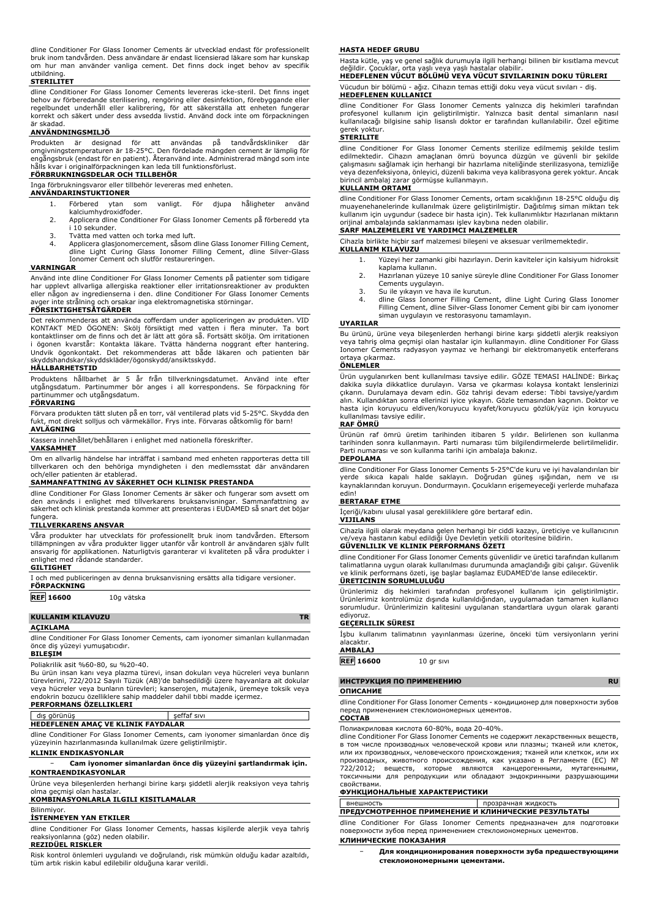dline Conditioner For Glass Ionomer Cements är utvecklad endast för professionellt bruk inom tandvården. Dess användare är endast licensierad läkare som har kunskap om hur man använder vanliga cement. Det finns dock inget behov av specifik utbildning.

#### **STERILITET**

dline Conditioner For Glass Ionomer Cements levereras icke-steril. Det finns inget behov av förberedande sterilisering, rengöring eller desinfektion, förebyggande eller regelbundet underhåll eller kalibrering, för att säkerställa att enheten fungerar korrekt och säkert under dess avsedda livstid. Använd dock inte om förpackningen är skadad.

#### **ANVÄNDNINGSMILJÖ**

Produkten är designad för att användas på tandvårdskliniker där omgivningstemperaturen är 18-25°C. Den fördelade mängden cement är lämplig för engångsbruk (endast för en patient). Återanvänd inte. Administrerad mängd som inte hålls kvar i originalförpackningen kan leda till funktionsförlust.

# **FÖRBRUKNINGSDELAR OCH TILLBEHÖR**

Inga förbrukningsvaror eller tillbehör levereras med enheten.

## **ANVÄNDARINSTUKTIONER**

- 1. Förbered ytan som vanligt. För djupa håligheter använd kalciumhydroxidfoder.
- 2. Applicera dline Conditioner For Glass Ionomer Cements på förberedd yta i 10 sekunder.
- 3. Tvätta med vatten och torka med luft.<br>4. Applicera glasionomercement, såsom o
- 4. Applicera glasjonomercement, såsom dline Glass Ionomer Filling Cement, dline Light Curing Glass Ionomer Filling Cement, dline Silver-Glass Ionomer Cement och slutför restaureringen.

#### **VARNINGAR**

Använd inte dline Conditioner For Glass Ionomer Cements på patienter som tidigare har upplevt allvarliga allergiska reaktioner eller irritationsreaktioner av produkten eller någon av ingredienserna i den. dline Conditioner For Glass Ionomer Cements avger inte strålning och orsakar inga elektromagnetiska störningar.

#### **FÖRSIKTIGHETSÅTGÄRDER**

Det rekommenderas att använda cofferdam under appliceringen av produkten. VID KONTAKT MED ÖGONEN: Skölj försiktigt med vatten i flera minuter. Ta bort kontaktlinser om de finns och det är lätt att göra så. Fortsätt skölja. Om irritationen i ögonen kvarstår: Kontakta läkare. Tvätta händerna noggrant efter hantering. Undvik ögonkontakt. Det rekommenderas att både läkaren och patienten bär skyddshandskar/skyddskläder/ögonskydd/ansiktsskydd.

#### **HÅLLBARHETSTID**

Produktens hållbarhet är 5 år från tillverkningsdatumet. Använd inte efter utgångsdatum. Partinummer bör anges i all korrespondens. Se förpackning för partinummer och utgångsdatum.

### **FÖRVARING**

Förvara produkten tätt sluten på en torr, väl ventilerad plats vid 5-25°C. Skydda den fukt, mot direkt solljus och värmekällor. Frys inte. Förvaras oåtkomlig för barn! **AVLÄGNING**

Kassera innehållet/behållaren i enlighet med nationella föreskrifter.

#### **VAKSAMHET**

Om en allvarlig händelse har inträffat i samband med enheten rapporteras detta till tillverkaren och den behöriga myndigheten i den medlemsstat där användaren och/eller patienten är etablerad.

### **SAMMANFATTNING AV SÄKERHET OCH KLINISK PRESTANDA**

dline Conditioner For Glass Ionomer Cements är säker och fungerar som avsett om den används i enlighet med tillverkarens bruksanvisningar. Sammanfattning av säkerhet och klinisk prestanda kommer att presenteras i EUDAMED så snart det böjar fungera.

#### **TILLVERKARENS ANSVAR**

Våra produkter har utvecklats för professionellt bruk inom tandvården. Eftersom tillämpningen av våra produkter ligger utanför vår kontroll är användaren själv fullt ansvarig för applikationen. Naturligtvis garanterar vi kvaliteten på våra produkter i enlighet med rådande standarder. **GILTIGHET**

I och med publiceringen av denna bruksanvisning ersätts alla tidigare versioner. **FÖRPACKNING**

**REF 16600** 10g vätska

## **KULLANIM KILAVUZU TR**

## **AÇIKLAMA**

dline Conditioner For Glass Ionomer Cements, cam iyonomer simanları kullanmadan önce diş yüzeyi yumuşatıcıdır.

#### **BILEŞIM**

Poliakrilik asit %60-80, su %20-40.

Bu ürün insan kanı veya plazma türevi, insan dokuları veya hücreleri veya bunların türevlerini, 722/2012 Sayılı Tüzük (AB)'de bahsedildiği üzere hayvanlara ait dokular veya hücreler veya bunların türevleri; kanserojen, mutajenik, üremeye toksik veya endokrin bozucu özelliklere sahip maddeler dahil tıbbi madde içermez. **PERFORMANS ÖZELLIKLERI**

dış görünüş **zakların altına sahip seffaf sıvı HEDEFLENEN AMAÇ VE KLINIK FAYDALAR**

dline Conditioner For Glass Ionomer Cements, cam iyonomer simanlardan önce diş yüzeyinin hazırlanmasında kullanılmak üzere geliştirilmiştir.

## **KLINIK ENDIKASYONLAR**

− **Cam iyonomer simanlardan önce diş yüzeyini şartlandırmak için. KONTRAENDIKASYONLAR**

Ürüne veya bileşenlerden herhangi birine karşı şiddetli alerjik reaksiyon veya tahriş olma geçmişi olan hastalar.

## **KOMBINASYONLARLA ILGILI KISITLAMALAR**

## Bilinmiyor.

**İSTENMEYEN YAN ETKILER**

dline Conditioner For Glass Ionomer Cements, hassas kişilerde alerjik veya tahriş reaksiyonlarına (göz) neden olabilir.

## **REZIDÜEL RISKLER**

Risk kontrol önlemleri uygulandı ve doğrulandı, risk mümkün olduğu kadar azaltıldı, tüm artık riskin kabul edilebilir olduğuna karar verildi.

#### **HASTA HEDEF GRUBU**

Hasta kütle, yaş ve genel sağlık durumuyla ilgili herhangi bilinen bir kısıtlama mevcut değildir. Çocuklar, orta yaşlı veya yaşlı hastalar olabilir.

**HEDEFLENEN VÜCUT BÖLÜMÜ VEYA VÜCUT SIVILARININ DOKU TÜRLERI** Vücudun bir bölümü - ağız. Cihazın temas ettiği doku veya vücut sıvıları - diş. **HEDEFLENEN KULLANICI**

dline Conditioner For Glass Ionomer Cements yalnızca diş hekimleri tarafından profesyonel kullanım için geliştirilmiştir. Yalnızca basit dental simanların nasıl kullanılacağı bilgisine sahip lisanslı doktor er tarafından kullanılabilir. Özel eğitime gerek yoktur. **STERILITE**

dline Conditioner For Glass Ionomer Cements sterilize edilmemiş şekilde teslim edilmektedir. Cihazın amaçlanan ömrü boyunca düzgün ve güvenli bir şekilde çalışmasını sağlamak için herhangi bir hazırlama niteliğinde sterilizasyona, temizliğe veya dezenfeksiyona, önleyici, düzenli bakıma veya kalibrasyona gerek yoktur. Ancak birincil ambalaj zarar görmüşse kullanmayın.

#### **KULLANIM ORTAMI**

dline Conditioner For Glass Ionomer Cements, ortam sıcaklığının 18-25°C olduğu diş muayenehanelerinde kullanılmak üzere geliştirilmiştir. Dağıtılmış siman miktarı tek kullanım için uygundur (sadece bir hasta için). Tek kullanımlıktır Hazırlanan miktarın orijinal ambalajında saklanmaması işlev kaybına neden olabilir.

## **SARF MALZEMELERI VE YARDIMCI MALZEMELER**

Cihazla birlikte hiçbir sarf malzemesi bileşeni ve aksesuar verilmemektedir. **KULLANIM KILAVUZU**

- 1. Yüzeyi her zamanki gibi hazırlayın. Derin kaviteler için kalsiyum hidroksit
- kaplama kullanın. 2. Hazırlanan yüzeye 10 saniye süreyle dline Conditioner For Glass Ionomer
- Cements uygulayın.
- 3. Su ile yıkayın ve hava ile kurutun.<br>4. dline Glass Ionomer Filling Ceme
- 4. dline Glass Ionomer Filling Cement, dline Light Curing Glass Ionomer Filling Cement, dline Silver-Glass Ionomer Cement gibi bir cam iyonomer siman uygulayın ve restorasyonu tamamlayın.

#### **UYARILAR**

Bu ürünü, ürüne veya bileşenlerden herhangi birine karşı şiddetli alerjik reaksiyon veya tahriş olma geçmişi olan hastalar için kullanmayın. dline Conditioner For Glass Ionomer Cements radyasyon yaymaz ve herhangi bir elektromanyetik enterferans ortaya çıkarmaz.

### **ÖNLEMLER**

Ürün uygulanırken bent kullanılması tavsiye edilir. GÖZE TEMASI HALİNDE: Birkaç dakika suyla dikkatlice durulayın. Varsa ve çıkarması kolaysa kontakt lenslerinizi çıkarın. Durulamaya devam edin. Göz tahrişi devam ederse: Tıbbi tavsiye/yardım alın. Kullandıktan sonra ellerinizi iyice yıkayın. Gözle temasından kaçının. Doktor ve hasta için koruyucu eldiven/koruyucu kıyafet/koruyucu gözlük/yüz için koruyucu kullanılması tavsiye edilir.

## **RAF ÖMRÜ**

Ürünün raf ömrü üretim tarihinden itibaren 5 yıldır. Belirlenen son kullanma tarihinden sonra kullanmayın. Parti numarası tüm bilgilendirmelerde belirtilmelidir. Parti numarası ve son kullanma tarihi için ambalaja bakınız.

### **DEPOLAMA**

dline Conditioner For Glass Ionomer Cements 5-25°C'de kuru ve iyi havalandırılan bir yerde sıkıca kapalı halde saklayın. Doğrudan güneş ışığından, nem ve kaynaklarından koruyun. Dondurmayın. Çocukların erişemeyeceği yerlerde muhafaza edin!

#### **BERTARAF ETME**

İçeriği/kabını ulusal yasal gerekliliklere göre bertaraf edin. **VIJILANS**

Cihazla ilgili olarak meydana gelen herhangi bir ciddi kazayı, üreticiye ve kullanıcının ve/veya hastanın kabul edildiği Üye Devletin yetkili otoritesine bildirin. **GÜVENLILIK VE KLINIK PERFORMANS ÖZETI**

dline Conditioner For Glass Ionomer Cements güvenlidir ve üretici tarafından kullanım talimatlarına uygun olarak kullanılması durumunda amaçlandığı gibi çalışır. Güvenlik ve klinik performans özeti, işe başlar başlamaz EUDAMED'de lanse edilecektir. **ÜRETICININ SORUMLULUĞU**

Ürünlerimiz diş hekimleri tarafından profesyonel kullanım için geliştirilmiştir. Ürünlerimiz kontrolümüz dışında kullanıldığından, uygulamadan tamamen kullanıcı sorumludur. Ürünlerimizin kalitesini uygulanan standartlara uygun olarak garanti ediyoruz.

#### **GEÇERLILIK SÜRESI**

İşbu kullanım talimatının yayınlanması üzerine, önceki tüm versiyonların yerini alacaktır. **AMBALAJ**

**REF 16600** 10 gr sıvı

#### **ИНСТРУКЦИЯ ПО ПРИМЕНЕНИЮ RU**

#### **ОПИСАНИЕ**

dline Conditioner For Glass Ionomer Cements - кондиционер для поверхности зубов перед применением стеклоиономерных цементов. **СОСТАВ**

#### Полиакриловая кислота 60-80%, вода 20-40%.

dline Conditioner For Glass Ionomer Cements не содержит лекарственных веществ, в том числе производных человеческой крови или плазмы; тканей или клеток, или их производных, человеческого происхождения; тканей или клеткок, или их производных, животного происхождения, как указано в Регламенте (ЕС) № 722/2012; веществ, которые являются канцерогенными, мутагенными, токсичными для репродукции или обладают эндокринными разрушающими свойствами.

## **ФУНКЦИОНАЛЬНЫЕ ХАРАКТЕРИСТИКИ**

| внешность                                           | прозрачная жидкость |
|-----------------------------------------------------|---------------------|
| ПРЕДУСМОТРЕННОЕ ПРИМЕНЕНИЕ И КЛИНИЧЕСКИЕ РЕЗУЛЬТАТЫ |                     |

dline Conditioner For Glass Ionomer Cements предназначен для подготовки поверхности зубов перед применением стеклоиономерных цементов.

### **КЛИНИЧЕСКИЕ ПОКАЗАНИЯ**

− **Для кондиционирования поверхности зуба предшествующими стеклоиономерными цементами.**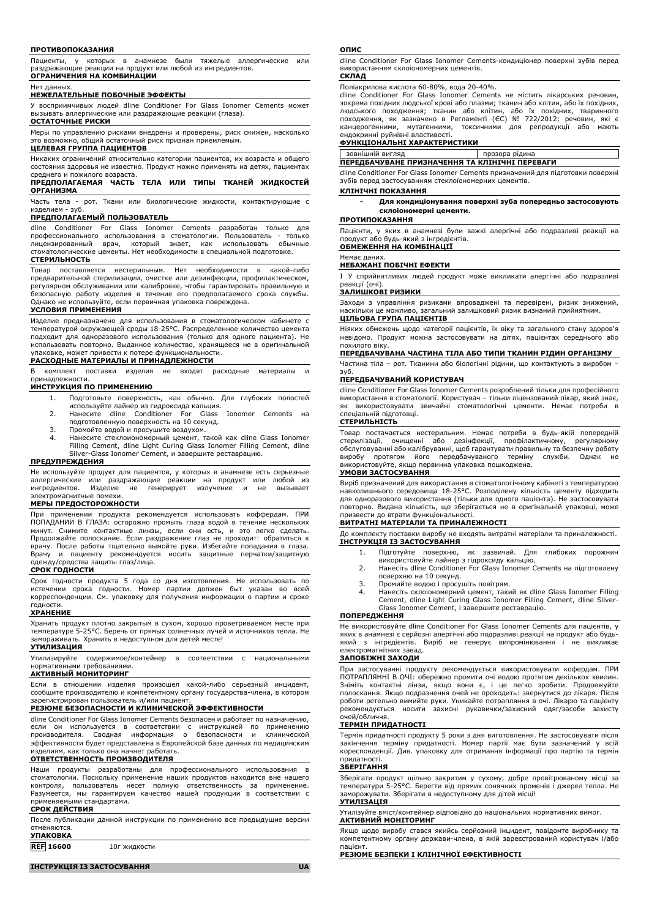#### **ПРОТИВОПОКАЗАНИЯ**

Пациенты, у которых в анамнезе были тяжелые аллергические или раздражающие реакции на продукт или любой из ингредиентов. **ОГРАНИЧЕНИЯ НА КОМБИНАЦИИ**

#### Нет данных.

#### **НЕЖЕЛАТЕЛЬНЫЕ ПОБОЧНЫЕ ЭФФЕКТЫ**

У восприимчивых людей dline Conditioner For Glass Ionomer Cements может вызывать аллергические или раздражающие реакции (глаза).

#### **ОСТАТОЧНЫЕ РИСКИ**

Меры по управлению рисками внедрены и проверены, риск снижен, насколько это возможно, общий остаточный риск признан приемлемым. **ЦЕЛЕВАЯ ГРУППА ПАЦИЕНТОВ**

Никаких ограничений относительно категории пациентов, их возраста и общего состояния здоровья не известно. Продукт можно применять на детях, пациентах среднего и пожилого возраста.

#### **ПРЕДПОЛАГАЕМАЯ ЧАСТЬ ТЕЛА ИЛИ ТИПЫ ТКАНЕЙ ЖИДКОСТЕЙ ОРГАНИЗМА**

Часть тела - рот. Ткани или биологические жидкости, контактирующие с изделием - зуб.

#### **ПРЕДПОЛАГАЕМЫЙ ПОЛЬЗОВАТЕЛЬ**

dline Conditioner For Glass Ionomer Cements разработан только для профессионального использования в стоматологии. Пользователь - только лицензированный врач, который знает, как использовать обычные стоматологические цементы. Нет необходимости в специальной подготовке.

#### **СТЕРИЛЬНОСТЬ**

Товар поставляется нестерильным. Нет необходимости в какой-либо предварительной стерилизации, очистке или дезинфекции, профилактическом, регулярном обслуживании или калибровке, чтобы гарантировать правильную и безопасную работу изделия в течение его предполагаемого срока службы. Однако не используйте, если первичная упаковка повреждена.

#### **УСЛОВИЯ ПРИМЕНЕНИЯ**

Изделие предназначено для использования в стоматологическом кабинете с температурой окружающей среды 18-25°C. Распределенное количество цемента подходит для одноразового использования (только для одного пациента). Не использовать повторно. Выданное количество, хранящееся не в оригинальной упаковке, может привести к потере функциональности.

## **РАСХОДНЫЕ МАТЕРИАЛЫ И ПРИНАДЛЕЖНОСТИ**

В комплект поставки изделия не входят расходные материалы и принадлежности.

### **ИНСТРУКЦИЯ ПО ПРИМЕНЕНИЮ**

- 1. Подготовьте поверхность, как обычно. Для глубоких полостей
- используйте лайнер из гидроксида кальция. 2. Нанесите dline Conditioner For Glass Ionomer Cements на подготовленную поверхность на 10 секунд.
- 
- 3. Промойте водой и просушите воздухом. 4. Нанесите стеклоиономерный цемент, такой как dline Glass Ionomer Filling Cement, dline Light Curing Glass Ionomer Filling Cement, dline Silver-Glass Ionomer Cement, и завершите реставрацию.

#### **ПРЕДУПРЕЖДЕНИЯ**

Не используйте продукт для пациентов, у которых в анамнезе есть серьезные<br>аллергические или раздражающие реакции на продукт или любой из<br>ингредиентов. Изделие не генерирует излучение и не вызывает электромагнитные помехи.

#### **МЕРЫ ПРЕДОСТОРОЖНОСТИ**

При применении продукта рекомендуется использовать коффердам. ПРИ ПОПАДАНИИ В ГЛАЗА: осторожно промыть глаза водой в течение нескольких минут. Снимите контактные линзы, если они есть, и это легко сделать. Продолжайте полоскание. Если раздражение глаз не проходит: обратиться к врачу. После работы тщательно вымойте руки. Избегайте попадания в глаза. Врачу и пациенту рекомендуется носить защитные перчатки/защитную одежду/средства защиты глаз/лица.

#### **СРОК ГОДНОСТИ**

Срок годности продукта 5 года со дня изготовления. Не использовать по истечении срока годности. Номер партии должен быт указан во всей корреспонденции. См. упаковку для получения информации о партии и сроке годности.

## **ХРАНЕНИЕ**

Хранить продукт плотно закрытым в сухом, хорошо проветриваемом месте при температуре 5-25°C. Беречь от прямых солнечных лучей и источников тепла. Не замораживать. Хранить в недоступном для детей месте!

## **УТИЛИЗАЦИЯ**

Утилизируйте содержимое/контейнер в соответствии с национальными нормативными требованиями.

# **АКТИВНЫЙ МОНИТОРИНГ**

Если в отношении изделия произошел какой-либо серьезный инцидент, сообщите производителю и компетентному органу государства-члена, в котором зарегистрирован пользователь и/или пациент.

## **РЕЗЮМЕ БЕЗОПАСНОСТИ И КЛИНИЧЕСКОЙ ЭФФЕКТИВНОСТИ**

dline Conditioner For Glass Ionomer Cements безопасен и работает по назначению, если он используется в соответствии с инструкцией по применению производителя. Сводная информация о безопасности и клинической эффективности будет представлена в Европейской базе данных по медицинским изделиям, как только она начнет работать.

## **ОТВЕТСТВЕННОСТЬ ПРОИЗВОДИТЕЛЯ**

Наши продукты разработаны для профессионального использования в стоматологии. Поскольку применение наших продуктов находится вне нашего контроля, пользователь несет полную ответственность за применение. Разумеется, мы гарантируем качество нашей продукции в соответствии с применяемыми стандартами.

### **СРОК ДЕЙСТВИЯ**

После публикации данной инструкции по применению все предыдущие версии отменяются. **УПАКОВКА**

**REF 16600** 10г жидкости

**ІНСТРУКЦІЯ ІЗ ЗАСТОСУВАННЯ UA**

#### **ОПИС**

dline Conditioner For Glass Ionomer Cements-кондиціонер поверхні зубів перед використанням склоіономерних цементів. **СКЛАД**

Поліакрилова кислота 60-80%, вода 20-40%. dline Conditioner For Glass Ionomer Cements не містить лікарських речовин, зокрема похідних людської крові або плазми; тканин або клітин, або їх похідних, людського походження; тканин або клітин, або їх похідних, тваринного походження, як зазначено в Регламенті (ЄС) № 722/2012; речовин, які є канцерогенними, мутагенними, токсичними для репродукції або мають ендокринні руйнівні властивості.

#### **ФУНКЦІОНАЛЬНІ ХАРАКТЕРИСТИКИ**

| зовнішній вигляд                               | прозора рідина |
|------------------------------------------------|----------------|
| ПЕРЕДБАЧУВАНЕ ПРИЗНАЧЕННЯ ТА КЛІНІЧНІ ПЕРЕВАГИ |                |

dline Conditioner For Glass Ionomer Cements призначений для підготовки поверхні зубів перед застосуванням стеклоїономерних цементів.

#### **КЛІНІЧНІ ПОКАЗАННЯ**

− **Для кондиціонування поверхні зуба попередньо застосовують склоіономерні цементи.**

# **ПРОТИПОКАЗАННЯ**

Пацієнти, у яких в анамнезі були важкі алергічні або подразливі реакції на продукт або будь-який з інгредієнтів. **ОБМЕЖЕННЯ НА КОМБІНАЦІЇ**

## Немає даних.

**НЕБАЖАНІ ПОБІЧНІ ЕФЕКТИ**

I У сприйнятливих людей продукт може викликати алергічні або подразливі

# реакції (очі). **ЗАЛИШКОВІ РИЗИКИ**

Заходи з управління ризиками впроваджені та перевірені, ризик знижений, наскільки це можливо, загальний залишковий ризик визнаний прийнятним. **ЦІЛЬОВА ГРУПА ПАЦІЄНТІВ**

Ніяких обмежень щодо категорії пацієнтів, їх віку та загального стану здоров'я невідомо. Продукт можна застосовувати на дітях, пацієнтах середнього або похилого віку.

#### **ПЕРЕДБАЧУВАНА ЧАСТИНА ТІЛА АБО ТИПИ ТКАНИН РІДИН ОРГАНІЗМУ**

Частина тіла – рот. Тканини або біологічні рідини, що контактують з виробом – зуб.

#### **ПЕРЕДБАЧУВАНИЙ КОРИСТУВАЧ**

dline Conditioner For Glass Ionomer Cements розроблений тільки для професійного використання в стоматології. Користувач – тільки ліцензований лікар, який знає, як використовувати звичайні стоматологічні цементи. Немає потреби в спеціальній підготовці.

## **СТЕРИЛЬНІСТЬ**

Товар постачається нестерильним. Немає потреби в будь-якій попередній<br>стерилізації, очищенні або<br>обслуговуванніабо-калібруванні,щоб-гарантувати-правильну-та-безпечну-роботу виробу протягом його передбачуваного терміну служби. Однак не використовуйте, якщо первинна упаковка пошкоджена.

#### **УМОВИ ЗАСТОСУВАННЯ**

Виріб призначений для використання в стоматологічному кабінеті з температурою навколишнього середовища 18-25°C. Розподілену кількість цементу підходить для одноразового використання (тільки для одного пацієнта). Не застосовувати повторно. Видана кількість, що зберігається не в оригінальній упаковці, може призвести до втрати функціональності.

### **ВИТРАТНІ МАТЕРІАЛИ ТА ПРИНАЛЕЖНОСТІ**

До комплекту поставки виробу не входять витратні матеріали та приналежності. **ІНСТРУКЦІЯ ІЗ ЗАСТОСУВАННЯ**

- 1. Підготуйте поверхню, як зазвичай. Для глибоких порожнин використовуйте лайнер з гідроксиду кальцію.
- 2. Нанесіть dline Conditioner For Glass Ionomer Cements на підготовлену поверхню на 10 секунд.
- 
- 3. Промийте водою і просушіть повітрям. 4. Нанесіть склоіономерний цемент, такий як dline Glass Ionomer Filling Cement, dline Light Curing Glass Ionomer Filling Cement, dline Silver-Glass Ionomer Cement, і завершите реставрацію.

#### **ПОПЕРЕДЖЕННЯ**

Не використовуйте dline Conditioner For Glass Ionomer Cements для пацієнтів, у яких в анамнезі є серйозні алергічні або подразливі реакції на продукт або будьякий з інгредієнтів. Виріб не генерує випромінювання і не викликає електромагнітних завад.

#### **ЗАПОБІЖНІ ЗАХОДИ**

При застосуванні продукту рекомендується використовувати кофердам. ПРИ<br>ПОТРАПЛЯННІ В ОЧІ: обережно промити очі водою протягом декількох хвилин.<br>Зніміть контактні лінзи, якщо вони є, і це легко зробити. Продовжуйте полоскання. Якщо подразнення очей не проходить: звернутися до лікаря. Після роботи ретельно вимийте руки. Уникайте потрапляння в очі. Лікарю та пацієнту рекомендується носити захисні рукавички/захисний одяг/засоби захисту очей/обличчя.

#### **ТЕРМІН ПРИДАТНОСТІ**

Термін придатності продукту 5 роки з дня виготовлення. Не застосовувати після закінчення терміну придатності. Номер партії має бути зазначений кореспонденції. Див. упаковку для отримання інформації про партію та термін придатності.

#### **ЗБЕРІГАННЯ**

Зберігати продукт щільно закритим у сухому, добре провітрюваному місці за температури 5-25°C. Берегти від прямих сонячних променів і джерел тепла. Не заморожувати. Зберігати в недоступному для дітей місці!

#### **УТИЛІЗАЦІЯ**

Утилізуйте вміст/контейнер відповідно до національних нормативних вимог. **АКТИВНИЙ МОНІТОРИНГ**

Якщо щодо виробу стався якийсь серйозний інцидент, повідомте виробнику та компетентному органу держави-члена, в якій зареєстрований користувач і/або пацієнт.

#### **РЕЗЮМЕ БЕЗПЕКИ І КЛІНІЧНОЇ ЕФЕКТИВНОСТІ**